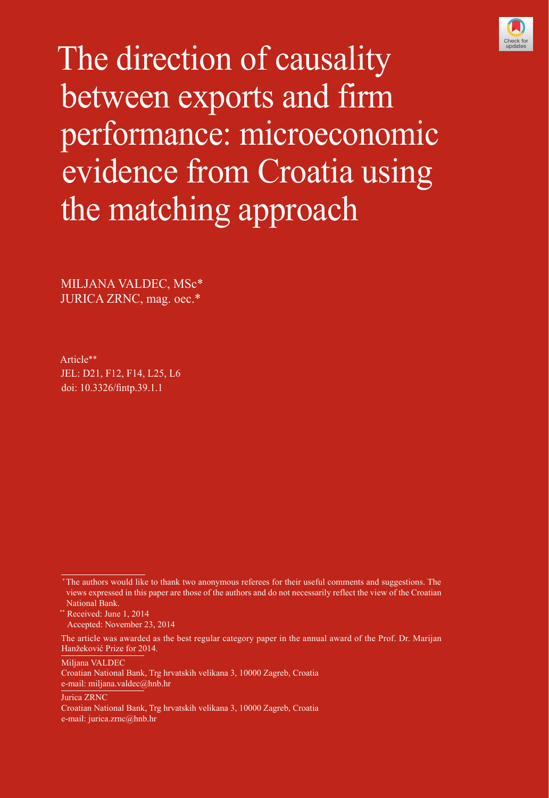

The direction of causality between exports and firm performance: microeconomic evidence from Croatia using the matching approach

MILJANA VALDEC, MSc\* JURICA ZRNC, mag. oec.\*

Article\*\* JEL: D21, F12, F14, L25, L6 doi: [10.3326/fintp.39.1.1](http://dx.doi.org/10.3326/fintp.39.1.1)

Miljana VALDEC

Jurica ZRNC

 <sup>\*</sup> The authors would like to thank two anonymous referees for their useful comments and suggestions. The views expressed in this paper are those of the authors and do not necessarily reflect the view of the Croatian National Bank.

<sup>\*\*</sup> Received: June 1, 2014 Accepted: November 23, 2014

The article was awarded as the best regular category paper in the annual award of the Prof. Dr. Marijan Hanžeković Prize for 2014.

Croatian National Bank, Trg hrvatskih velikana 3, 10000 Zagreb, Croatia e-mail: miljana.valdec@hnb.hr

Croatian National Bank, Trg hrvatskih velikana 3, 10000 Zagreb, Croatia e-mail: jurica.zrnc@hnb.hr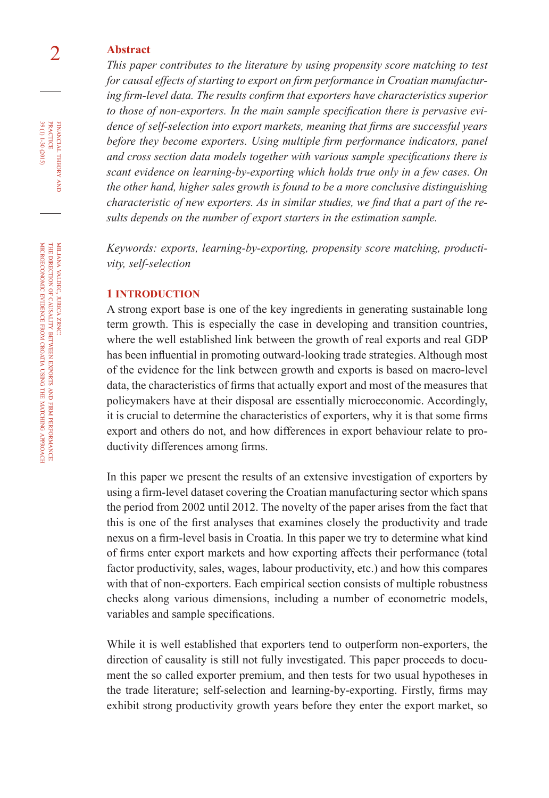# 2 **Abstract**

*This paper contributes to the literature by using propensity score matching to test for causal effects of starting to export on firm performance in Croatian manufacturing firm-level data. The results confirm that exporters have characteristics superior to those of non-exporters. In the main sample specification there is pervasive evidence of self-selection into export markets, meaning that firms are successful years*  before they become exporters. Using multiple firm performance indicators, panel *and cross section data models together with various sample specifications there is scant evidence on learning-by-exporting which holds true only in a few cases. On the other hand, higher sales growth is found to be a more conclusive distinguishing characteristic of new exporters. As in similar studies, we find that a part of the results depends on the number of export starters in the estimation sample.*

*Keywords: exports, learning-by-exporting, propensity score matching, productivity, self-selection*

#### **1 INTRODUCTION**

A strong export base is one of the key ingredients in generating sustainable long term growth. This is especially the case in developing and transition countries, where the well established link between the growth of real exports and real GDP has been influential in promoting outward-looking trade strategies. Although most of the evidence for the link between growth and exports is based on macro-level data, the characteristics of firms that actually export and most of the measures that policymakers have at their disposal are essentially microeconomic. Accordingly, it is crucial to determine the characteristics of exporters, why it is that some firms export and others do not, and how differences in export behaviour relate to productivity differences among firms.

In this paper we present the results of an extensive investigation of exporters by using a firm-level dataset covering the Croatian manufacturing sector which spans the period from 2002 until 2012. The novelty of the paper arises from the fact that this is one of the first analyses that examines closely the productivity and trade nexus on a firm-level basis in Croatia. In this paper we try to determine what kind of firms enter export markets and how exporting affects their performance (total factor productivity, sales, wages, labour productivity, etc.) and how this compares with that of non-exporters. Each empirical section consists of multiple robustness checks along various dimensions, including a number of econometric models, variables and sample specifications.

While it is well established that exporters tend to outperform non-exporters, the direction of causality is still not fully investigated. This paper proceeds to document the so called exporter premium, and then tests for two usual hypotheses in the trade literature; self-selection and learning-by-exporting. Firstly, firms may exhibit strong productivity growth years before they enter the export market, so

and is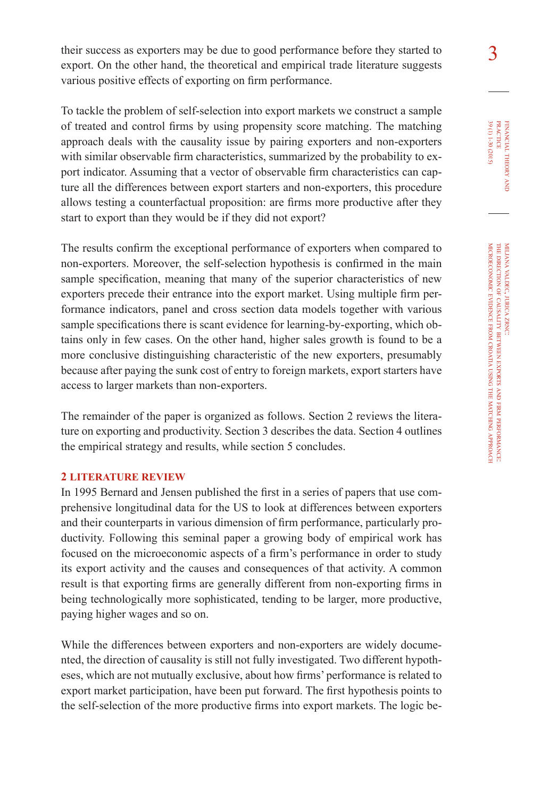their success as exporters may be due to good performance before they started to  $\frac{3}{3}$ export. On the other hand, the theoretical and empirical trade literature suggests various positive effects of exporting on firm performance.

To tackle the problem of self-selection into export markets we construct a sample of treated and control firms by using propensity score matching. The matching approach deals with the causality issue by pairing exporters and non-exporters with similar observable firm characteristics, summarized by the probability to export indicator. Assuming that a vector of observable firm characteristics can capture all the differences between export starters and non-exporters, this procedure allows testing a counterfactual proposition: are firms more productive after they start to export than they would be if they did not export?

The results confirm the exceptional performance of exporters when compared to non-exporters. Moreover, the self-selection hypothesis is confirmed in the main sample specification, meaning that many of the superior characteristics of new exporters precede their entrance into the export market. Using multiple firm performance indicators, panel and cross section data models together with various sample specifications there is scant evidence for learning-by-exporting, which obtains only in few cases. On the other hand, higher sales growth is found to be a more conclusive distinguishing characteristic of the new exporters, presumably because after paying the sunk cost of entry to foreign markets, export starters have access to larger markets than non-exporters.

The remainder of the paper is organized as follows. Section 2 reviews the literature on exporting and productivity. Section 3 describes the data. Section 4 outlines the empirical strategy and results, while section 5 concludes.

#### **2 LITERATURE REVIEW**

In 1995 Bernard and Jensen published the first in a series of papers that use comprehensive longitudinal data for the US to look at differences between exporters and their counterparts in various dimension of firm performance, particularly productivity. Following this seminal paper a growing body of empirical work has focused on the microeconomic aspects of a firm's performance in order to study its export activity and the causes and consequences of that activity. A common result is that exporting firms are generally different from non-exporting firms in being technologically more sophisticated, tending to be larger, more productive, paying higher wages and so on.

While the differences between exporters and non-exporters are widely documented, the direction of causality is still not fully investigated. Two different hypotheses, which are not mutually exclusive, about how firms' performance is related to export market participation, have been put forward. The first hypothesis points to the self-selection of the more productive firms into export markets. The logic befinancial

39 (1) 1-30 (2015)

theory FINANCIAL THEORY AND PRACTICE 39 (1) 1-30 (2015) practice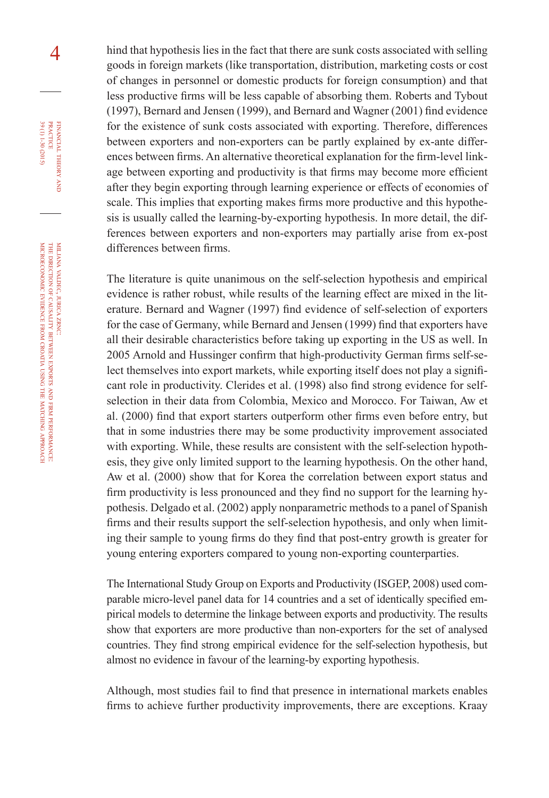4 hind that hypothesis lies in the fact that there are sunk costs associated with selling goods in foreign markets (like transportation, distribution, marketing costs or cost of changes in personnel or domestic products for foreign consumption) and that less productive firms will be less capable of absorbing them. Roberts and Tybout (1997), Bernard and Jensen (1999), and Bernard and Wagner (2001) find evidence for the existence of sunk costs associated with exporting. Therefore, differences between exporters and non-exporters can be partly explained by ex-ante differences between firms. An alternative theoretical explanation for the firm-level linkage between exporting and productivity is that firms may become more efficient after they begin exporting through learning experience or effects of economies of scale. This implies that exporting makes firms more productive and this hypothesis is usually called the learning-by-exporting hypothesis. In more detail, the differences between exporters and non-exporters may partially arise from ex-post differences between firms.

> The literature is quite unanimous on the self-selection hypothesis and empirical evidence is rather robust, while results of the learning effect are mixed in the literature. Bernard and Wagner (1997) find evidence of self-selection of exporters for the case of Germany, while Bernard and Jensen (1999) find that exporters have all their desirable characteristics before taking up exporting in the US as well. In 2005 Arnold and Hussinger confirm that high-productivity German firms self-select themselves into export markets, while exporting itself does not play a significant role in productivity. Clerides et al. (1998) also find strong evidence for selfselection in their data from Colombia, Mexico and Morocco. For Taiwan, Aw et al. (2000) find that export starters outperform other firms even before entry, but that in some industries there may be some productivity improvement associated with exporting. While, these results are consistent with the self-selection hypothesis, they give only limited support to the learning hypothesis. On the other hand, Aw et al. (2000) show that for Korea the correlation between export status and firm productivity is less pronounced and they find no support for the learning hypothesis. Delgado et al. (2002) apply nonparametric methods to a panel of Spanish firms and their results support the self-selection hypothesis, and only when limiting their sample to young firms do they find that post-entry growth is greater for young entering exporters compared to young non-exporting counterparties.

> The International Study Group on Exports and Productivity (ISGEP, 2008) used comparable micro-level panel data for 14 countries and a set of identically specified empirical models to determine the linkage between exports and productivity. The results show that exporters are more productive than non-exporters for the set of analysed countries. They find strong empirical evidence for the self-selection hypothesis, but almost no evidence in favour of the learning-by exporting hypothesis.

> Although, most studies fail to find that presence in international markets enables firms to achieve further productivity improvements, there are exceptions. Kraay

financial

FINANCIAL THEORY PRACTICE 39 (1) 1-30 (2015)

39 (1) 1-30 (2015) practice

theory and is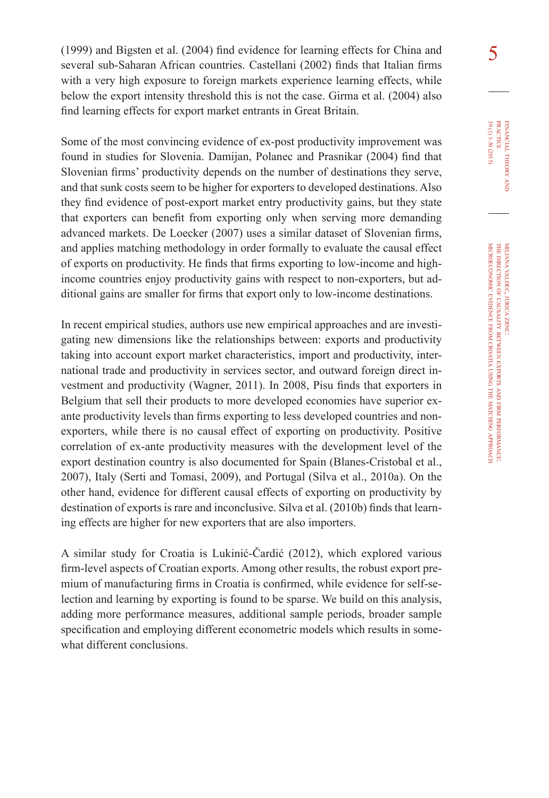5 (1999) and Bigsten et al. (2004) find evidence for learning effects for China and several sub-Saharan African countries. Castellani (2002) finds that Italian firms with a very high exposure to foreign markets experience learning effects, while below the export intensity threshold this is not the case. Girma et al. (2004) also find learning effects for export market entrants in Great Britain.

Some of the most convincing evidence of ex-post productivity improvement was found in studies for Slovenia. Damijan, Polanec and Prasnikar (2004) find that Slovenian firms' productivity depends on the number of destinations they serve, and that sunk costs seem to be higher for exporters to developed destinations. Also they find evidence of post-export market entry productivity gains, but they state that exporters can benefit from exporting only when serving more demanding advanced markets. De Loecker (2007) uses a similar dataset of Slovenian firms, and applies matching methodology in order formally to evaluate the causal effect of exports on productivity. He finds that firms exporting to low-income and highincome countries enjoy productivity gains with respect to non-exporters, but additional gains are smaller for firms that export only to low-income destinations.

In recent empirical studies, authors use new empirical approaches and are investigating new dimensions like the relationships between: exports and productivity taking into account export market characteristics, import and productivity, international trade and productivity in services sector, and outward foreign direct investment and productivity (Wagner, 2011). In 2008, Pisu finds that exporters in Belgium that sell their products to more developed economies have superior exante productivity levels than firms exporting to less developed countries and nonexporters, while there is no causal effect of exporting on productivity. Positive correlation of ex-ante productivity measures with the development level of the export destination country is also documented for Spain (Blanes-Cristobal et al., 2007), Italy (Serti and Tomasi, 2009), and Portugal (Silva et al., 2010a). On the other hand, evidence for different causal effects of exporting on productivity by destination of exports is rare and inconclusive. Silva et al. (2010b) finds that learning effects are higher for new exporters that are also importers.

A similar study for Croatia is Lukinić-Čardić (2012), which explored various firm-level aspects of Croatian exports. Among other results, the robust export premium of manufacturing firms in Croatia is confirmed, while evidence for self-selection and learning by exporting is found to be sparse. We build on this analysis, adding more performance measures, additional sample periods, broader sample specification and employing different econometric models which results in somewhat different conclusions.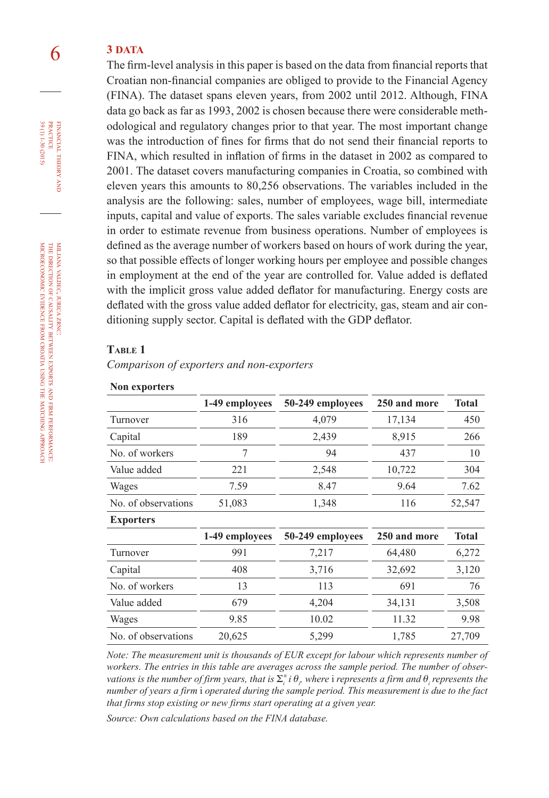# 6 **3 DATA**

The firm-level analysis in this paper is based on the data from financial reports that Croatian non-financial companies are obliged to provide to the Financial Agency (FINA). The dataset spans eleven years, from 2002 until 2012. Although, FINA data go back as far as 1993, 2002 is chosen because there were considerable methodological and regulatory changes prior to that year. The most important change was the introduction of fines for firms that do not send their financial reports to FINA, which resulted in inflation of firms in the dataset in 2002 as compared to 2001. The dataset covers manufacturing companies in Croatia, so combined with eleven years this amounts to 80,256 observations. The variables included in the analysis are the following: sales, number of employees, wage bill, intermediate inputs, capital and value of exports. The sales variable excludes financial revenue in order to estimate revenue from business operations. Number of employees is defined as the average number of workers based on hours of work during the year, so that possible effects of longer working hours per employee and possible changes in employment at the end of the year are controlled for. Value added is deflated with the implicit gross value added deflator for manufacturing. Energy costs are deflated with the gross value added deflator for electricity, gas, steam and air conditioning supply sector. Capital is deflated with the GDP deflator.

#### **Table 1**

**Non exporters**

*Comparison of exporters and non-exporters*

| 1-49 employees | 50-249 employees | 250 and more | <b>Total</b> |
|----------------|------------------|--------------|--------------|
| 316            | 4,079            | 17,134       | 450          |
| 189            | 2,439            | 8,915        | 266          |
| 7              | 94               | 437          | 10           |
| 221            | 2,548            | 10,722       | 304          |
| 7.59           | 8.47             | 9.64         | 7.62         |
| 51,083         | 1,348            | 116          | 52,547       |
|                |                  |              |              |
| 1-49 employees | 50-249 employees | 250 and more | <b>Total</b> |
| 991            | 7,217            | 64,480       | 6,272        |
| 408            | 3,716            | 32,692       | 3,120        |
| 13             | 113              | 691          | 76           |
| 679            | 4,204            | 34,131       | 3,508        |
| 9.85           | 10.02            | 11.32        | 9.98         |
| 20,625         | 5,299            | 1,785        | 27,709       |
|                |                  |              |              |

*Note: The measurement unit is thousands of EUR except for labour which represents number of workers. The entries in this table are averages across the sample period. The number of observations is the number of firm years, that is*  $\Sigma_i^n$  *i*  $\theta_i$  *where i represents a firm and*  $\theta_i$  *represents the number of years a firm* i *operated during the sample period. This measurement is due to the fact that firms stop existing or new firms start operating at a given year.*

*Source: Own calculations based on the FINA database.*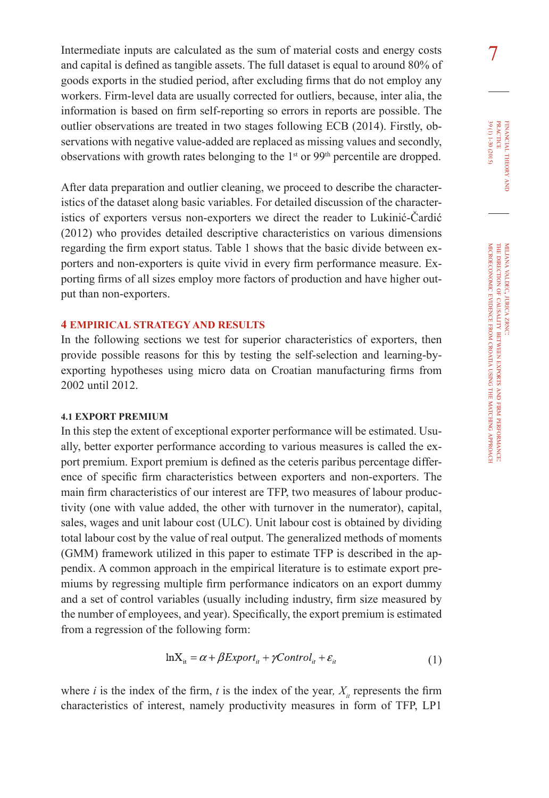Intermediate inputs are calculated as the sum of material costs and energy costs and capital is defined as tangible assets. The full dataset is equal to around 80% of goods exports in the studied period, after excluding firms that do not employ any workers. Firm-level data are usually corrected for outliers, because, inter alia, the information is based on firm self-reporting so errors in reports are possible. The outlier observations are treated in two stages following ECB (2014). Firstly, observations with negative value-added are replaced as missing values and secondly, observations with growth rates belonging to the 1st or 99th percentile are dropped.

After data preparation and outlier cleaning, we proceed to describe the characteristics of the dataset along basic variables. For detailed discussion of the characteristics of exporters versus non-exporters we direct the reader to Lukinić-Čardić (2012) who provides detailed descriptive characteristics on various dimensions regarding the firm export status. Table 1 shows that the basic divide between exporters and non-exporters is quite vivid in every firm performance measure. Exporting firms of all sizes employ more factors of production and have higher output than non-exporters.

## **4 EMPIRICAL STRATEGY AND RESULTS**

In the following sections we test for superior characteristics of exporters, then provide possible reasons for this by testing the self-selection and learning-byexporting hypotheses using micro data on Croatian manufacturing firms from 2002 until 2012.

#### **4.1 EXPORT PREMIUM**

In this step the extent of exceptional exporter performance will be estimated. Usually, better exporter performance according to various measures is called the export premium. Export premium is defined as the ceteris paribus percentage difference of specific firm characteristics between exporters and non-exporters. The main firm characteristics of our interest are TFP, two measures of labour productivity (one with value added, the other with turnover in the numerator), capital, sales, wages and unit labour cost (ULC). Unit labour cost is obtained by dividing total labour cost by the value of real output. The generalized methods of moments (GMM) framework utilized in this paper to estimate TFP is described in the appendix. A common approach in the empirical literature is to estimate export premiums by regressing multiple firm performance indicators on an export dummy and a set of control variables (usually including industry, firm size measured by the number of employees, and year). Specifically, the export premium is estimated from a regression of the following form:

$$
\ln X_{it} = \alpha + \beta Export_{it} + \gamma Control_{it} + \varepsilon_{it}
$$
\n(1)

where *i* is the index of the firm, *t* is the index of the year,  $X_i$  represents the firm characteristics of interest, namely productivity measures in form of TFP, LP1

financial

39 (1) 1-30 (2015)

7

theory FINANCIAL THEORY AND PRACTICE 39 (1) 1-30 (2015) practice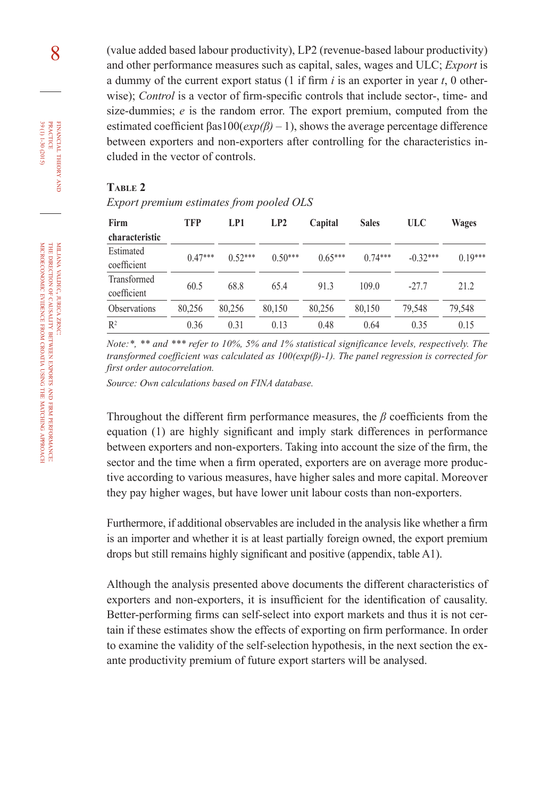(value added based labour productivity), LP2 (revenue-based labour productivity) and other performance measures such as capital, sales, wages and ULC; *Export* is a dummy of the current export status (1 if firm *i* is an exporter in year *t*, 0 otherwise); *Control* is a vector of firm-specific controls that include sector-, time- and size-dummies; *e* is the random error. The export premium, computed from the estimated coefficient βas100(*exp(β)* – 1), shows the average percentage difference between exporters and non-exporters after controlling for the characteristics included in the vector of controls.

### **Table 2**

*Export premium estimates from pooled OLS*

| Firm                | <b>TFP</b> | LP1       | LP2       | Capital   | <b>Sales</b> | ULC        | <b>Wages</b> |
|---------------------|------------|-----------|-----------|-----------|--------------|------------|--------------|
| characteristic      |            |           |           |           |              |            |              |
| Estimated           | $0.47***$  | $0.52***$ | $0.50***$ | $0.65***$ | $0.74***$    | $-0.32***$ | $0.19***$    |
| coefficient         |            |           |           |           |              |            |              |
| Transformed         | 60.5       | 68.8      | 65.4      | 91.3      | 109.0        | $-27.7$    | 21.2         |
| coefficient         |            |           |           |           |              |            |              |
| <b>Observations</b> | 80,256     | 80,256    | 80,150    | 80,256    | 80,150       | 79,548     | 79,548       |
| $R^2$               | 0.36       | 0.31      | 0.13      | 0.48      | 0.64         | 0.35       | 0.15         |

*Note:\*, \*\* and \*\*\* refer to 10%, 5% and 1% statistical significance levels, respectively. The transformed coefficient was calculated as 100(exp(β)-1). The panel regression is corrected for first order autocorrelation.*

*Source: Own calculations based on FINA database.*

Throughout the different firm performance measures, the *β* coefficients from the equation (1) are highly significant and imply stark differences in performance between exporters and non-exporters. Taking into account the size of the firm, the sector and the time when a firm operated, exporters are on average more productive according to various measures, have higher sales and more capital. Moreover they pay higher wages, but have lower unit labour costs than non-exporters.

Furthermore, if additional observables are included in the analysis like whether a firm is an importer and whether it is at least partially foreign owned, the export premium drops but still remains highly significant and positive (appendix, table A1).

Although the analysis presented above documents the different characteristics of exporters and non-exporters, it is insufficient for the identification of causality. Better-performing firms can self-select into export markets and thus it is not certain if these estimates show the effects of exporting on firm performance. In order to examine the validity of the self-selection hypothesis, in the next section the exante productivity premium of future export starters will be analysed.

zrnc:

miljana

financial

FINANCIAL THEORY PRACTICE 39 (1) 1-30 (2015)

8

39 (1) 1-30 (2015) practice

theory and is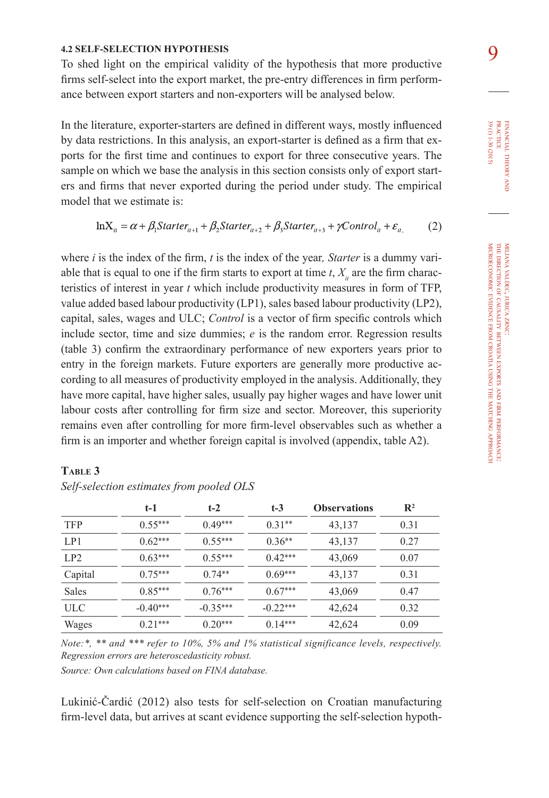### **4.2 SELF-SELECTION HYPOTHESIS**

To shed light on the empirical validity of the hypothesis that more productive firms self-select into the export market, the pre-entry differences in firm performance between export starters and non-exporters will be analysed below.

In the literature, exporter-starters are defined in different ways, mostly influenced by data restrictions. In this analysis, an export-starter is defined as a firm that exports for the first time and continues to export for three consecutive years. The sample on which we base the analysis in this section consists only of export starters and firms that never exported during the period under study. The empirical model that we estimate is:

$$
\ln X_{it} = \alpha + \beta_1 \text{Starter}_{it+1} + \beta_2 \text{Starter}_{it+2} + \beta_3 \text{Starter}_{it+3} + \gamma \text{Control}_{it} + \varepsilon_{it}, \tag{2}
$$

where *i* is the index of the firm, *t* is the index of the year*, Starter* is a dummy variable that is equal to one if the firm starts to export at time  $t$ ,  $X_i$  are the firm characteristics of interest in year *t* which include productivity measures in form of TFP, value added based labour productivity (LP1), sales based labour productivity (LP2), capital, sales, wages and ULC; *Control* is a vector of firm specific controls which include sector, time and size dummies; *e* is the random error. Regression results (table 3) confirm the extraordinary performance of new exporters years prior to entry in the foreign markets. Future exporters are generally more productive according to all measures of productivity employed in the analysis. Additionally, they have more capital, have higher sales, usually pay higher wages and have lower unit labour costs after controlling for firm size and sector. Moreover, this superiority remains even after controlling for more firm-level observables such as whether a firm is an importer and whether foreign capital is involved (appendix, table A2).

|              | $t-1$      | $t-2$      | $t-3$      | <b>Observations</b> | $\mathbf{R}^2$ |
|--------------|------------|------------|------------|---------------------|----------------|
| <b>TFP</b>   | $0.55***$  | $0.49***$  | $0.31**$   | 43,137              | 0.31           |
| LP1          | $0.62***$  | $0.55***$  | $0.36**$   | 43,137              | 0.27           |
| LP2          | $0.63***$  | $0.55***$  | $0.42***$  | 43,069              | 0.07           |
| Capital      | $0.75***$  | $0.74**$   | $0.69***$  | 43,137              | 0.31           |
| <b>Sales</b> | $0.85***$  | $0.76***$  | $0.67***$  | 43,069              | 0.47           |
| ULC          | $-0.40***$ | $-0.35***$ | $-0.22***$ | 42,624              | 0.32           |
| Wages        | $0.21***$  | $0.20***$  | $0.14***$  | 42,624              | 0.09           |

## **Table 3**

*Self-selection estimates from pooled OLS*

*Note:\*, \*\* and \*\*\* refer to 10%, 5% and 1% statistical significance levels, respectively. Regression errors are heteroscedasticity robust.*

*Source: Own calculations based on FINA database.*

Lukinić-Čardić (2012) also tests for self-selection on Croatian manufacturing firm-level data, but arrives at scant evidence supporting the self-selection hypoth-

FINANCIAL THEORY PRACTICE 39 (1) 1-30 (2015) 39 (1) 1-30 (2015) practice financial theory and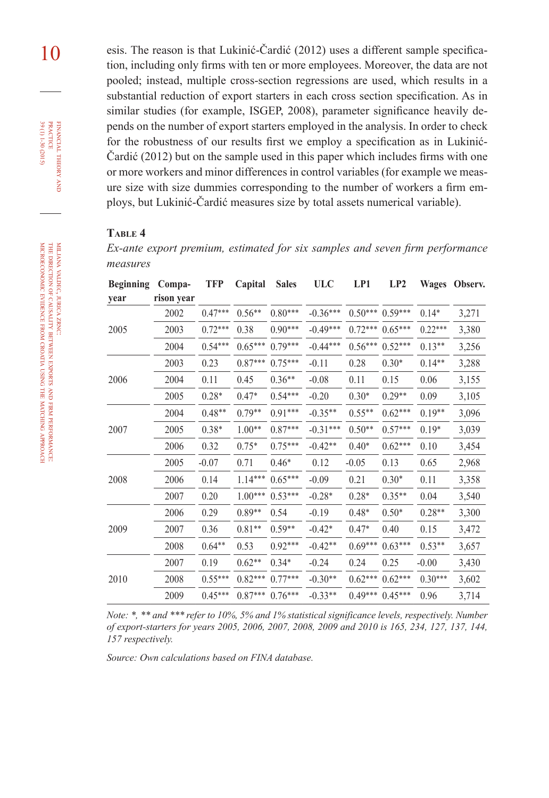10 esis. The reason is that Lukinić-Čardić (2012) uses a different sample specification, including only firms with ten or more employees. Moreover, the data are not pooled; instead, multiple cross-section regressions are used, which results in a substantial reduction of export starters in each cross section specification. As in similar studies (for example, ISGEP, 2008), parameter significance heavily depends on the number of export starters employed in the analysis. In order to check for the robustness of our results first we employ a specification as in Lukinić-Čardić (2012) but on the sample used in this paper which includes firms with one or more workers and minor differences in control variables (for example we measure size with size dummies corresponding to the number of workers a firm employs, but Lukinić-Čardić measures size by total assets numerical variable).

### **Table 4**

*Ex-ante export premium, estimated for six samples and seven firm performance measures*

| <b>Beginning</b> | Compa-     | <b>TFP</b> | Capital   | <b>Sales</b> | <b>ULC</b> | LP1       | LP2       | <b>Wages</b> | Observ. |
|------------------|------------|------------|-----------|--------------|------------|-----------|-----------|--------------|---------|
| year             | rison year |            |           |              |            |           |           |              |         |
|                  | 2002       | $0.47***$  | $0.56**$  | $0.80***$    | $-0.36***$ | $0.50***$ | $0.59***$ | $0.14*$      | 3,271   |
| 2005             | 2003       | $0.72***$  | 0.38      | $0.90***$    | $-0.49***$ | $0.72***$ | $0.65***$ | $0.22***$    | 3,380   |
|                  | 2004       | $0.54***$  | $0.65***$ | $0.79***$    | $-0.44***$ | $0.56***$ | $0.52***$ | $0.13**$     | 3,256   |
|                  | 2003       | 0.23       | $0.87***$ | $0.75***$    | $-0.11$    | 0.28      | $0.30*$   | $0.14**$     | 3,288   |
| 2006             | 2004       | 0.11       | 0.45      | $0.36**$     | $-0.08$    | 0.11      | 0.15      | 0.06         | 3,155   |
|                  | 2005       | $0.28*$    | $0.47*$   | $0.54***$    | $-0.20$    | $0.30*$   | $0.29**$  | 0.09         | 3,105   |
|                  | 2004       | $0.48**$   | $0.79**$  | $0.91***$    | $-0.35**$  | $0.55**$  | $0.62***$ | $0.19**$     | 3,096   |
| 2007             | 2005       | $0.38*$    | $1.00**$  | $0.87***$    | $-0.31***$ | $0.50**$  | $0.57***$ | $0.19*$      | 3,039   |
|                  | 2006       | 0.32       | $0.75*$   | $0.75***$    | $-0.42**$  | $0.40*$   | $0.62***$ | 0.10         | 3,454   |
|                  | 2005       | $-0.07$    | 0.71      | $0.46*$      | 0.12       | $-0.05$   | 0.13      | 0.65         | 2,968   |
| 2008             | 2006       | 0.14       | $1.14***$ | $0.65***$    | $-0.09$    | 0.21      | $0.30*$   | 0.11         | 3,358   |
|                  | 2007       | 0.20       | $1.00***$ | $0.53***$    | $-0.28*$   | $0.28*$   | $0.35**$  | 0.04         | 3,540   |
|                  | 2006       | 0.29       | $0.89**$  | 0.54         | $-0.19$    | $0.48*$   | $0.50*$   | $0.28**$     | 3,300   |
| 2009             | 2007       | 0.36       | $0.81**$  | $0.59**$     | $-0.42*$   | $0.47*$   | 0.40      | 0.15         | 3,472   |
|                  | 2008       | $0.64**$   | 0.53      | $0.92***$    | $-0.42**$  | $0.69***$ | $0.63***$ | $0.53**$     | 3,657   |
|                  | 2007       | 0.19       | $0.62**$  | $0.34*$      | $-0.24$    | 0.24      | 0.25      | $-0.00$      | 3,430   |
| 2010             | 2008       | $0.55***$  | $0.82***$ | $0.77***$    | $-0.30**$  | $0.62***$ | $0.62***$ | $0.30***$    | 3,602   |
|                  | 2009       | $0.45***$  | $0.87***$ | $0.76***$    | $-0.33**$  | $0.49***$ | $0.45***$ | 0.96         | 3,714   |

*Note: \*, \*\* and \*\*\* refer to 10%, 5% and 1% statistical significance levels, respectively. Number of export-starters for years 2005, 2006, 2007, 2008, 2009 and 2010 is 165, 234, 127, 137, 144, 157 respectively.*

*Source: Own calculations based on FINA database.*

financial

FINANCIAL THEORY PRACTICE 39 (1) 1-30 (2015)

39 (1) 1-30 (2015) practice

theory and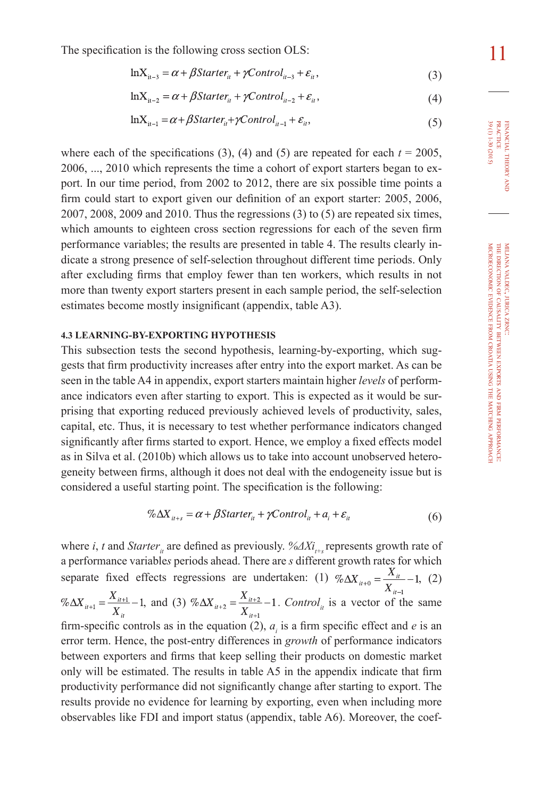The specification is the following cross section OLS:

$$
lnX_{it-3} = \alpha + \beta Starter_{it} + \gamma Control_{it-3} + \varepsilon_{it},
$$
\n(3)

$$
\ln X_{it-2} = \alpha + \beta Starter_{it} + \gamma Control_{it-2} + \varepsilon_{it},\tag{4}
$$

$$
\ln X_{it-1} = \alpha + \beta Starter_{it} + \gamma Control_{it-1} + \varepsilon_{it},
$$
\n(5)

where each of the specifications (3), (4) and (5) are repeated for each  $t = 2005$ , 2006, ..., 2010 which represents the time a cohort of export starters began to export. In our time period, from 2002 to 2012, there are six possible time points a firm could start to export given our definition of an export starter: 2005, 2006, 2007, 2008, 2009 and 2010. Thus the regressions (3) to (5) are repeated six times, which amounts to eighteen cross section regressions for each of the seven firm performance variables; the results are presented in table 4. The results clearly indicate a strong presence of self-selection throughout different time periods. Only after excluding firms that employ fewer than ten workers, which results in not more than twenty export starters present in each sample period, the self-selection estimates become mostly insignificant (appendix, table A3).

#### **4.3 LEARNING-BY-EXPORTING HYPOTHESIS**

This subsection tests the second hypothesis, learning-by-exporting, which suggests that firm productivity increases after entry into the export market. As can be seen in the table A4 in appendix, export starters maintain higher *levels* of performance indicators even after starting to export. This is expected as it would be surprising that exporting reduced previously achieved levels of productivity, sales, capital, etc. Thus, it is necessary to test whether performance indicators changed significantly after firms started to export. Hence, we employ a fixed effects model as in Silva et al. (2010b) which allows us to take into account unobserved heterogeneity between firms, although it does not deal with the endogeneity issue but is considered a useful starting point. The specification is the following:

$$
\% \Delta X_{i_{t+s}} = \alpha + \beta \text{Starter}_{i_t} + \gamma \text{Control}_{i_t} + a_i + \varepsilon_{i_t}
$$
\n
$$
\tag{6}
$$

where *i*, *t* and *Starter*<sub>*i*</sub> are defined as previously. %ΔXi<sub>t+s</sub> represents growth rate of a performance variable*s* periods ahead. There are *s* different growth rates for which separate fixed effects regressions are undertaken: (1)  $\% \Delta X_{u+0} = \frac{X_u}{X_{u+1}} - 1$ , (2)  $\% \Delta X_{i} = \frac{X_{i+1}}{X_{i}} - 1$ , and (3)  $\% \Delta X_{i+2} = \frac{X_{i+2}}{X_{i+1}} - 1$ . Control<sub>it</sub> is a vector of the same firm-specific controls as in the equation (2),  $a_i$  is a firm specific effect and *e* is an error term. Hence, the post-entry differences in *growth* of performance indicators between exporters and firms that keep selling their products on domestic market only will be estimated. The results in table A5 in the appendix indicate that firm productivity performance did not significantly change after starting to export. The results provide no evidence for learning by exporting, even when including more observables like FDI and import status (appendix, table A6). Moreover, the coef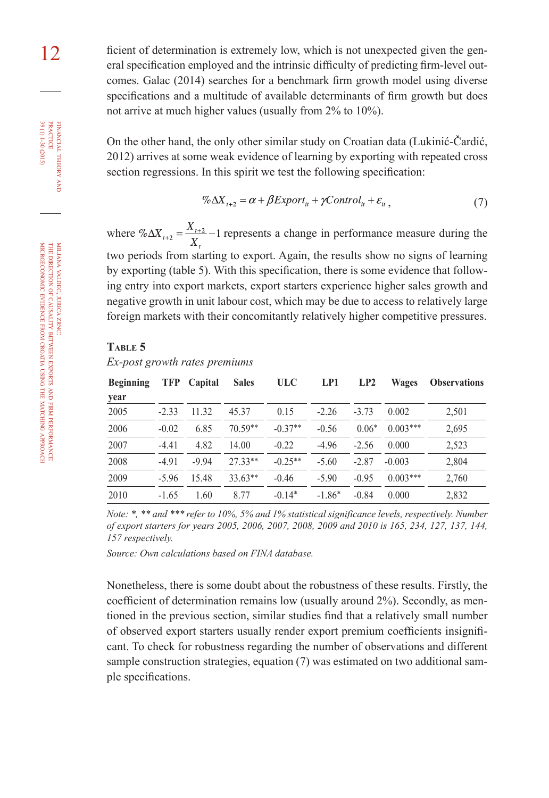12 ficient of determination is extremely low, which is not unexpected given the general specification employed and the intrinsic difficulty of predicting firm-level outcomes. Galac (2014) searches for a benchmark firm growth model using diverse specifications and a multitude of available determinants of firm growth but does not arrive at much higher values (usually from 2% to 10%).

> On the other hand, the only other similar study on Croatian data (Lukinić-Čardić, 2012) arrives at some weak evidence of learning by exporting with repeated cross section regressions. In this spirit we test the following specification:

$$
\% \Delta X_{t+2} = \alpha + \beta Export_{it} + \gamma Control_{it} + \varepsilon_{it} \,, \tag{7}
$$

where  $\% \Delta X_{t+2} = \frac{X_{t+2}}{X} - 1$  represents a change in performance measure during the two periods from starting to export. Again, the results show no signs of learning by exporting (table 5). With this specification, there is some evidence that following entry into export markets, export starters experience higher sales growth and negative growth in unit labour cost, which may be due to access to relatively large foreign markets with their concomitantly relatively higher competitive pressures.

#### **Table 5**

*Ex-post growth rates premiums*

| <b>Beginning</b> | <b>TFP</b> | Capital | <b>Sales</b> | <b>ULC</b> | LP1      | LP2     | Wages      | <b>Observations</b> |
|------------------|------------|---------|--------------|------------|----------|---------|------------|---------------------|
| year             |            |         |              |            |          |         |            |                     |
| 2005             | $-2.33$    | 11.32   | 45.37        | 0.15       | $-2.26$  | $-3.73$ | 0.002      | 2,501               |
| 2006             | $-0.02$    | 6.85    | $70.59**$    | $-0.37**$  | $-0.56$  | $0.06*$ | $0.003***$ | 2,695               |
| 2007             | $-4.41$    | 4.82    | 14.00        | $-0.22$    | $-4.96$  | $-2.56$ | 0.000      | 2,523               |
| 2008             | $-4.91$    | $-9.94$ | $27.33**$    | $-0.25**$  | $-5.60$  | $-2.87$ | $-0.003$   | 2,804               |
| 2009             | $-5.96$    | 15.48   | $33.63**$    | $-0.46$    | $-5.90$  | $-0.95$ | $0.003***$ | 2,760               |
| 2010             | $-1.65$    | 1.60    | 8.77         | $-0.14*$   | $-1.86*$ | $-0.84$ | 0.000      | 2,832               |

*Note: \*, \*\* and \*\*\* refer to 10%, 5% and 1% statistical significance levels, respectively. Number of export starters for years 2005, 2006, 2007, 2008, 2009 and 2010 is 165, 234, 127, 137, 144, 157 respectively.*

*Source: Own calculations based on FINA database.*

Nonetheless, there is some doubt about the robustness of these results. Firstly, the coefficient of determination remains low (usually around 2%). Secondly, as mentioned in the previous section, similar studies find that a relatively small number of observed export starters usually render export premium coefficients insignificant. To check for robustness regarding the number of observations and different sample construction strategies, equation (7) was estimated on two additional sample specifications.

financial

FINANCIAL THEORY PRACTICE 39 (1) 1-30 (2015)

39 (1) 1-30 (2015) practice

theory and is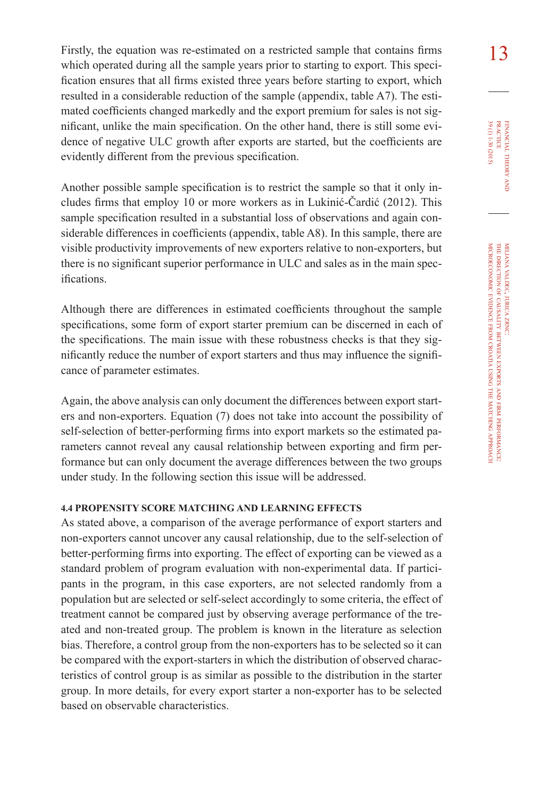Firstly, the equation was re-estimated on a restricted sample that contains firms  $\begin{array}{c} 1 \text{ } 3 \end{array}$ which operated during all the sample years prior to starting to export. This specification ensures that all firms existed three years before starting to export, which resulted in a considerable reduction of the sample (appendix, table A7). The estimated coefficients changed markedly and the export premium for sales is not significant, unlike the main specification. On the other hand, there is still some evidence of negative ULC growth after exports are started, but the coefficients are evidently different from the previous specification.

Another possible sample specification is to restrict the sample so that it only includes firms that employ 10 or more workers as in Lukinić-Čardić (2012). This sample specification resulted in a substantial loss of observations and again considerable differences in coefficients (appendix, table A8). In this sample, there are visible productivity improvements of new exporters relative to non-exporters, but there is no significant superior performance in ULC and sales as in the main specifications.

Although there are differences in estimated coefficients throughout the sample specifications, some form of export starter premium can be discerned in each of the specifications. The main issue with these robustness checks is that they significantly reduce the number of export starters and thus may influence the significance of parameter estimates.

Again, the above analysis can only document the differences between export starters and non-exporters. Equation (7) does not take into account the possibility of self-selection of better-performing firms into export markets so the estimated parameters cannot reveal any causal relationship between exporting and firm performance but can only document the average differences between the two groups under study. In the following section this issue will be addressed.

#### **4.4 PROPENSITY SCORE MATCHING AND LEARNING EFFECTS**

As stated above, a comparison of the average performance of export starters and non-exporters cannot uncover any causal relationship, due to the self-selection of better-performing firms into exporting. The effect of exporting can be viewed as a standard problem of program evaluation with non-experimental data. If participants in the program, in this case exporters, are not selected randomly from a population but are selected or self-select accordingly to some criteria, the effect of treatment cannot be compared just by observing average performance of the treated and non-treated group. The problem is known in the literature as selection bias. Therefore, a control group from the non-exporters has to be selected so it can be compared with the export-starters in which the distribution of observed characteristics of control group is as similar as possible to the distribution in the starter group. In more details, for every export starter a non-exporter has to be selected based on observable characteristics.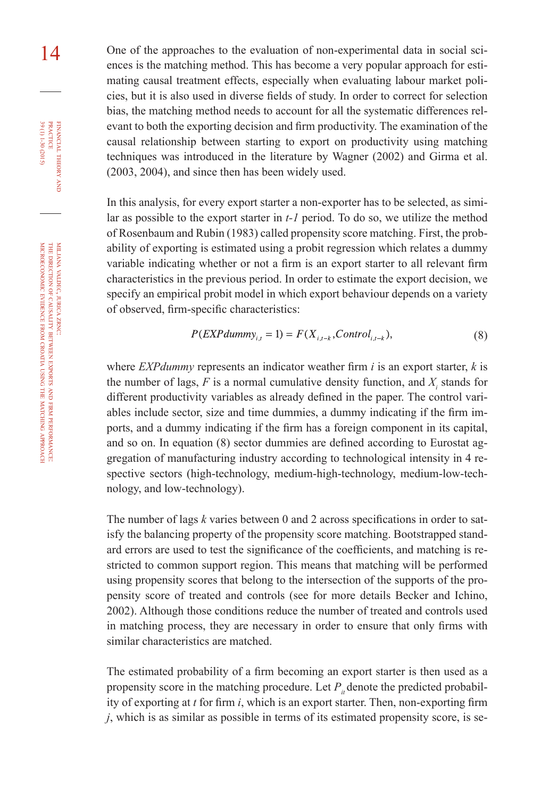miljana valdec, jurica zrnc: the direction of causality between exports à firm performance: microeconomic evidence from croatia using the matching approach

14 One of the approaches to the evaluation of non-experimental data in social sciences is the matching method. This has become a very popular approach for estimating causal treatment effects, especially when evaluating labour market policies, but it is also used in diverse fields of study. In order to correct for selection bias, the matching method needs to account for all the systematic differences relevant to both the exporting decision and firm productivity. The examination of the causal relationship between starting to export on productivity using matching techniques was introduced in the literature by Wagner (2002) and Girma et al. (2003, 2004), and since then has been widely used.

> In this analysis, for every export starter a non-exporter has to be selected, as similar as possible to the export starter in *t-1* period. To do so, we utilize the method of Rosenbaum and Rubin (1983) called propensity score matching. First, the probability of exporting is estimated using a probit regression which relates a dummy variable indicating whether or not a firm is an export starter to all relevant firm characteristics in the previous period. In order to estimate the export decision, we specify an empirical probit model in which export behaviour depends on a variety of observed, firm-specific characteristics:

$$
P(EXPdummy_{i,t} = 1) = F(X_{i,t-k}, Control_{i,t-k}),
$$
\n(8)

where *EXPdummy* represents an indicator weather firm *i* is an export starter, *k* is the number of lags,  $F$  is a normal cumulative density function, and  $X_i$  stands for different productivity variables as already defined in the paper. The control variables include sector, size and time dummies, a dummy indicating if the firm imports, and a dummy indicating if the firm has a foreign component in its capital, and so on. In equation (8) sector dummies are defined according to Eurostat aggregation of manufacturing industry according to technological intensity in 4 respective sectors (high-technology, medium-high-technology, medium-low-technology, and low-technology).

The number of lags *k* varies between 0 and 2 across specifications in order to satisfy the balancing property of the propensity score matching. Bootstrapped standard errors are used to test the significance of the coefficients, and matching is restricted to common support region. This means that matching will be performed using propensity scores that belong to the intersection of the supports of the propensity score of treated and controls (see for more details Becker and Ichino, 2002). Although those conditions reduce the number of treated and controls used in matching process, they are necessary in order to ensure that only firms with similar characteristics are matched.

The estimated probability of a firm becoming an export starter is then used as a propensity score in the matching procedure. Let  $P_i$  denote the predicted probability of exporting at *t* for firm *i*, which is an export starter. Then, non-exporting firm *j*, which is as similar as possible in terms of its estimated propensity score, is se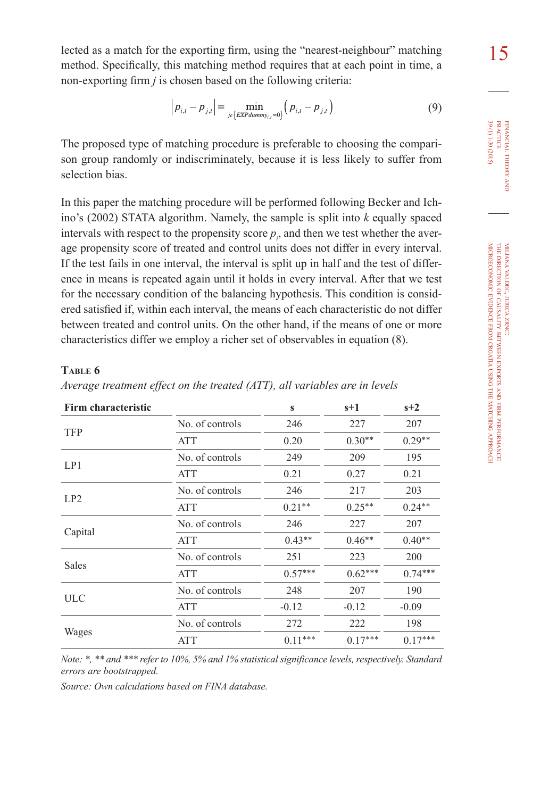15 lected as a match for the exporting firm, using the "nearest-neighbour" matching method. Specifically, this matching method requires that at each point in time, a non-exporting firm *j* is chosen based on the following criteria:

$$
|p_{i,t} - p_{j,t}| = \min_{j \in \{EXPdummy_{i,t} = 0\}} (p_{i,t} - p_{j,t})
$$
\n(9)

The proposed type of matching procedure is preferable to choosing the comparison group randomly or indiscriminately, because it is less likely to suffer from selection bias.

In this paper the matching procedure will be performed following Becker and Ichino's (2002) STATA algorithm. Namely, the sample is split into *k* equally spaced intervals with respect to the propensity score  $p_i$ , and then we test whether the average propensity score of treated and control units does not differ in every interval. If the test fails in one interval, the interval is split up in half and the test of difference in means is repeated again until it holds in every interval. After that we test for the necessary condition of the balancing hypothesis. This condition is considered satisfied if, within each interval, the means of each characteristic do not differ between treated and control units. On the other hand, if the means of one or more characteristics differ we employ a richer set of observables in equation (8).

#### **Table 6**

| Average treatment effect on the treated (ATT), all variables are in levels |  |  |  |  |  |  |  |  |
|----------------------------------------------------------------------------|--|--|--|--|--|--|--|--|
|----------------------------------------------------------------------------|--|--|--|--|--|--|--|--|

| Firm characteristic |                 | S         | $s+1$     | $s+2$     |
|---------------------|-----------------|-----------|-----------|-----------|
|                     | No. of controls | 246       | 227       | 207       |
| <b>TFP</b>          | <b>ATT</b>      | 0.20      | $0.30**$  | $0.29**$  |
|                     | No. of controls | 249       | 209       | 195       |
| LP1                 | ATT             | 0.21      | 0.27      | 0.21      |
|                     | No. of controls | 246       | 217       | 203       |
| LP2                 | <b>ATT</b>      | $0.21**$  | $0.25**$  | $0.24**$  |
|                     | No. of controls | 246       | 227       | 207       |
| Capital             | <b>ATT</b>      | $0.43**$  | $0.46**$  | $0.40**$  |
|                     | No. of controls | 251       | 223       | 200       |
| Sales               | ATT             | $0.57***$ | $0.62***$ | $0.74***$ |
|                     | No. of controls | 248       | 207       | 190       |
| <b>ULC</b>          | ATT             | $-0.12$   | $-0.12$   | $-0.09$   |
|                     | No. of controls | 272       | 222       | 198       |
| Wages               | ATT             | $0.11***$ | $0.17***$ | $0.17***$ |

*Note: \*, \*\* and \*\*\* refer to 10%, 5% and 1% statistical significance levels, respectively. Standard errors are bootstrapped.*

*Source: Own calculations based on FINA database.*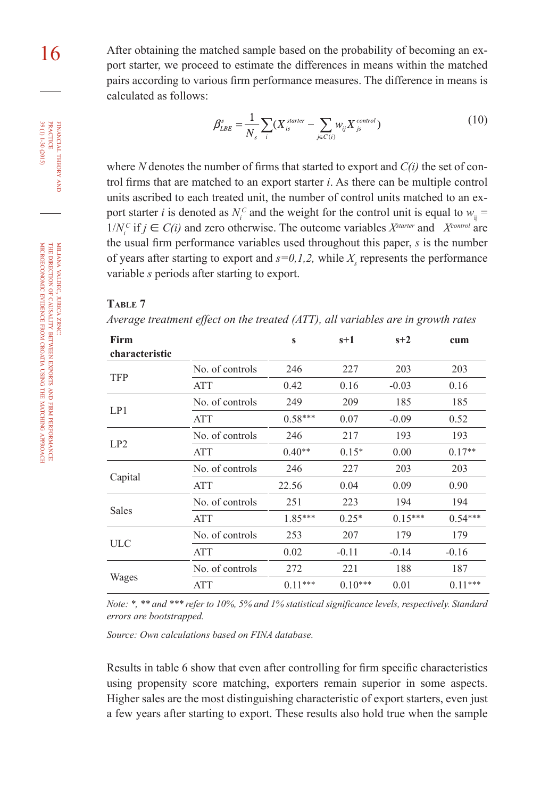16 After obtaining the matched sample based on the probability of becoming an export starter, we proceed to estimate the differences in means within the matched pairs according to various firm performance measures. The difference in means is calculated as follows:

$$
\beta_{\scriptscriptstyle LBE}^s = \frac{1}{N_s} \sum_i (X_{\scriptscriptstyle i s}^{\scriptscriptstyle \textit{starter}} - \sum_{\scriptscriptstyle j \in C(i)} w_{\scriptscriptstyle ij} X_{\scriptscriptstyle j s}^{\scriptscriptstyle \textit{control}})
$$
\n(10)

where *N* denotes the number of firms that started to export and *C(i)* the set of control firms that are matched to an export starter *i*. As there can be multiple control units ascribed to each treated unit, the number of control units matched to an export starter *i* is denoted as  $N_i^c$  and the weight for the control unit is equal to  $w_{ij} =$  $1/N_i^c$  if  $j \in C(i)$  and zero otherwise. The outcome variables  $X^{\text{starter}}$  and  $X^{\text{control}}$  are the usual firm performance variables used throughout this paper, *s* is the number of years after starting to export and  $s=0,1,2$ , while  $X<sub>s</sub>$  represents the performance variable *s* periods after starting to export.

#### **Table 7**

*Average treatment effect on the treated (ATT), all variables are in growth rates*

| Firm<br>characteristic |                 | $\mathbf{s}$ | $s+1$     | $s+2$     | cum       |
|------------------------|-----------------|--------------|-----------|-----------|-----------|
|                        |                 | 246          | 227       |           |           |
| <b>TFP</b>             | No. of controls |              |           | 203       | 203       |
|                        | <b>ATT</b>      | 0.42         | 0.16      | $-0.03$   | 0.16      |
| LP1                    | No. of controls | 249          | 209       | 185       | 185       |
|                        | <b>ATT</b>      | $0.58***$    | 0.07      | $-0.09$   | 0.52      |
| LP2                    | No. of controls | 246          | 217       | 193       | 193       |
|                        | <b>ATT</b>      | $0.40**$     | $0.15*$   | 0.00      | $0.17**$  |
|                        | No. of controls | 246          | 227       | 203       | 203       |
| Capital                | ATT             | 22.56        | 0.04      | 0.09      | 0.90      |
|                        | No. of controls | 251          | 223       | 194       | 194       |
| Sales                  | <b>ATT</b>      | 1.85***      | $0.25*$   | $0.15***$ | $0.54***$ |
|                        | No. of controls | 253          | 207       | 179       | 179       |
| <b>ULC</b>             | <b>ATT</b>      | 0.02         | $-0.11$   | $-0.14$   | $-0.16$   |
|                        | No. of controls | 272          | 221       | 188       | 187       |
| Wages                  | <b>ATT</b>      | $0.11***$    | $0.10***$ | 0.01      | $0.11***$ |

*Note: \*, \*\* and \*\*\* refer to 10%, 5% and 1% statistical significance levels, respectively. Standard errors are bootstrapped.*

*Source: Own calculations based on FINA database.*

Results in table 6 show that even after controlling for firm specific characteristics using propensity score matching, exporters remain superior in some aspects. Higher sales are the most distinguishing characteristic of export starters, even just a few years after starting to export. These results also hold true when the sample

financial

FINANCIAL THEORY PRACTICE 39 (1) 1-30 (2015)

39 (1) 1-30 (2015) practice

theory and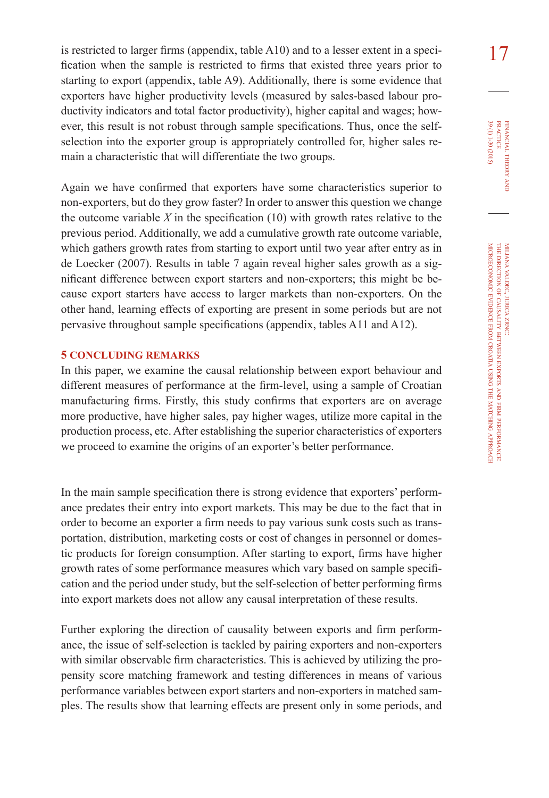is restricted to larger firms (appendix, table A10) and to a lesser extent in a speci- $\frac{17}{17}$ fication when the sample is restricted to firms that existed three years prior to starting to export (appendix, table A9). Additionally, there is some evidence that exporters have higher productivity levels (measured by sales-based labour productivity indicators and total factor productivity), higher capital and wages; however, this result is not robust through sample specifications. Thus, once the selfselection into the exporter group is appropriately controlled for, higher sales remain a characteristic that will differentiate the two groups.

Again we have confirmed that exporters have some characteristics superior to non-exporters, but do they grow faster? In order to answer this question we change the outcome variable  $X$  in the specification  $(10)$  with growth rates relative to the previous period. Additionally, we add a cumulative growth rate outcome variable, which gathers growth rates from starting to export until two year after entry as in de Loecker (2007). Results in table 7 again reveal higher sales growth as a significant difference between export starters and non-exporters; this might be because export starters have access to larger markets than non-exporters. On the other hand, learning effects of exporting are present in some periods but are not pervasive throughout sample specifications (appendix, tables A11 and A12).

### **5 CONCLUDING REMARKS**

In this paper, we examine the causal relationship between export behaviour and different measures of performance at the firm-level, using a sample of Croatian manufacturing firms. Firstly, this study confirms that exporters are on average more productive, have higher sales, pay higher wages, utilize more capital in the production process, etc. After establishing the superior characteristics of exporters we proceed to examine the origins of an exporter's better performance.

In the main sample specification there is strong evidence that exporters' performance predates their entry into export markets. This may be due to the fact that in order to become an exporter a firm needs to pay various sunk costs such as transportation, distribution, marketing costs or cost of changes in personnel or domestic products for foreign consumption. After starting to export, firms have higher growth rates of some performance measures which vary based on sample specification and the period under study, but the self-selection of better performing firms into export markets does not allow any causal interpretation of these results.

Further exploring the direction of causality between exports and firm performance, the issue of self-selection is tackled by pairing exporters and non-exporters with similar observable firm characteristics. This is achieved by utilizing the propensity score matching framework and testing differences in means of various performance variables between export starters and non-exporters in matched samples. The results show that learning effects are present only in some periods, and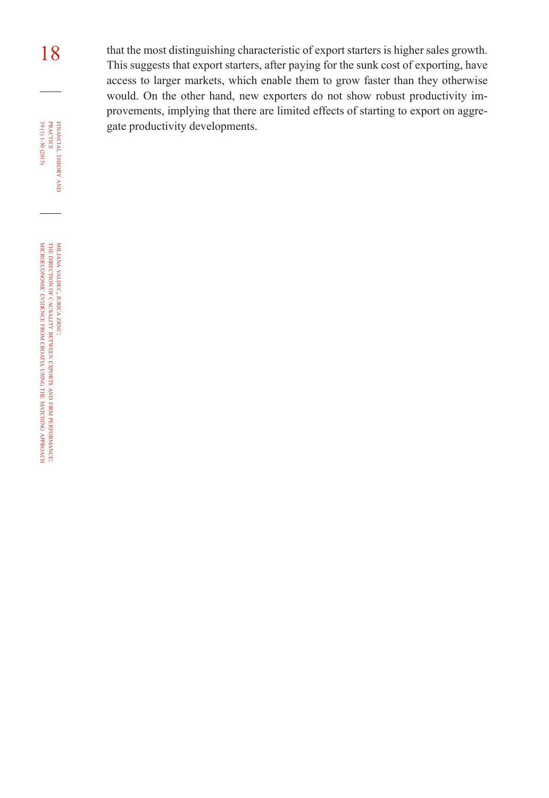18 that the most distinguishing characteristic of export starters is higher sales growth. This suggests that export starters, after paying for the sunk cost of exporting, have access to larger markets, which enable them to grow faster than they otherwise would. On the other hand, new exporters do not show robust productivity improvements, implying that there are limited effects of starting to export on aggregate productivity developments.

financial

 $(5107)$  06-1 (1) 66

theory FINANCIAL THEORY AND PRACTICE 39 (1) 1-30 (2015) practice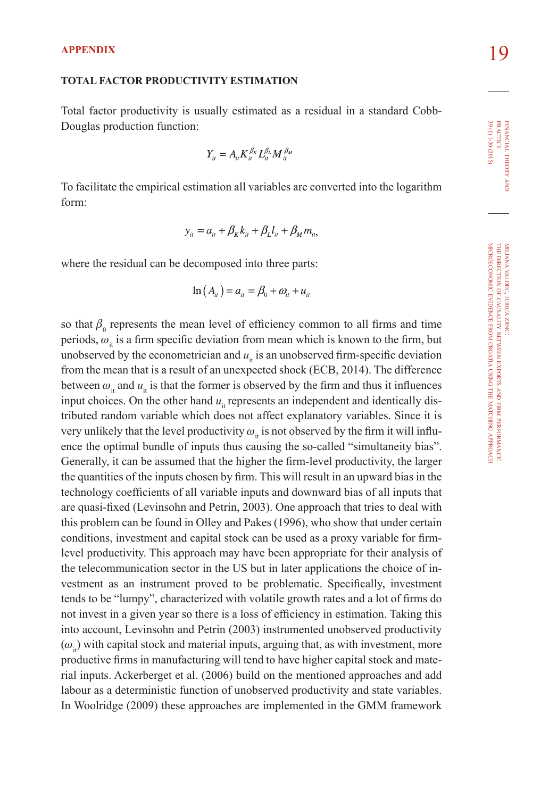#### **Total factor productivity estimation**

Total factor productivity is usually estimated as a residual in a standard Cobb-Douglas production function:

$$
Y_{\scriptscriptstyle i\prime} = A_{\scriptscriptstyle i\prime} K_{\scriptscriptstyle i\prime}^{\beta_K} L_{\scriptscriptstyle i\prime}^{\beta_L} M_{\scriptscriptstyle i\prime}^{\beta_M}
$$

To facilitate the empirical estimation all variables are converted into the logarithm form:

$$
y_{it} = a_{it} + \beta_K k_{it} + \beta_L l_{it} + \beta_M m_{it},
$$

where the residual can be decomposed into three parts:

$$
\ln(A_{ii}) = a_{ii} = \beta_0 + \omega_{ii} + u_{ii}
$$

so that  $\beta_0$  represents the mean level of efficiency common to all firms and time periods,  $\omega_{\mu}$  is a firm specific deviation from mean which is known to the firm, but unobserved by the econometrician and  $u_i$  is an unobserved firm-specific deviation from the mean that is a result of an unexpected shock (ECB, 2014). The difference between  $\omega_{i}$  and  $u_{i}$  is that the former is observed by the firm and thus it influences input choices. On the other hand  $u_{\mu}$  represents an independent and identically distributed random variable which does not affect explanatory variables. Since it is very unlikely that the level productivity  $\omega_{\mu}$  is not observed by the firm it will influence the optimal bundle of inputs thus causing the so-called "simultaneity bias". Generally, it can be assumed that the higher the firm-level productivity, the larger the quantities of the inputs chosen by firm. This will result in an upward bias in the technology coefficients of all variable inputs and downward bias of all inputs that are quasi-fixed (Levinsohn and Petrin, 2003). One approach that tries to deal with this problem can be found in Olley and Pakes (1996), who show that under certain conditions, investment and capital stock can be used as a proxy variable for firmlevel productivity. This approach may have been appropriate for their analysis of the telecommunication sector in the US but in later applications the choice of investment as an instrument proved to be problematic. Specifically, investment tends to be "lumpy", characterized with volatile growth rates and a lot of firms do not invest in a given year so there is a loss of efficiency in estimation. Taking this into account, Levinsohn and Petrin (2003) instrumented unobserved productivity  $(\omega)$  with capital stock and material inputs, arguing that, as with investment, more productive firms in manufacturing will tend to have higher capital stock and material inputs. Ackerberget et al. (2006) build on the mentioned approaches and add labour as a deterministic function of unobserved productivity and state variables. In Woolridge (2009) these approaches are implemented in the GMM framework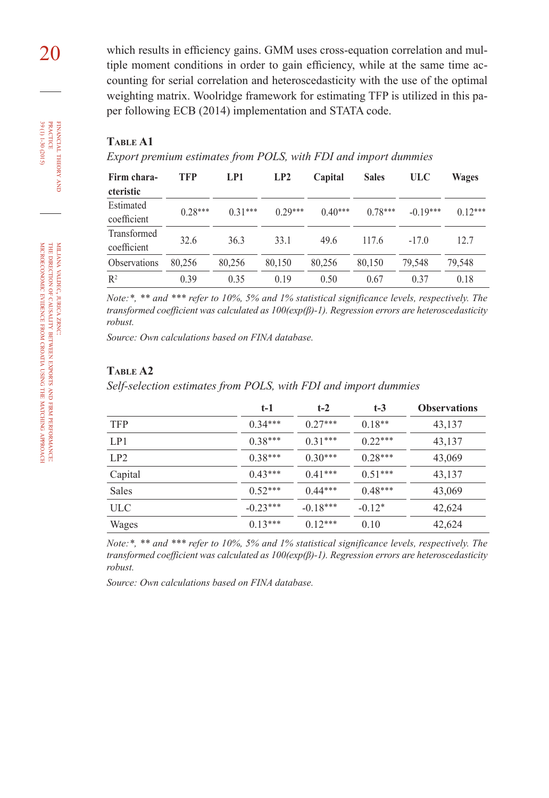20 which results in efficiency gains. GMM uses cross-equation correlation and multiple moment conditions in order to gain efficiency, while at the same time accounting for serial correlation and heteroscedasticity with the use of the optimal weighting matrix. Woolridge framework for estimating TFP is utilized in this paper following ECB (2014) implementation and STATA code.

#### **Table A1**

*Export premium estimates from POLS, with FDI and import dummies*

| Firm chara-<br>cteristic   | <b>TFP</b> | LP1       | LP2       | Capital   | <b>Sales</b> | <b>ULC</b> | Wages     |
|----------------------------|------------|-----------|-----------|-----------|--------------|------------|-----------|
| Estimated<br>coefficient   | $0.28***$  | $0.31***$ | $0.29***$ | $0.40***$ | $0.78***$    | $-0.19***$ | $0.12***$ |
| Transformed<br>coefficient | 32.6       | 36.3      | 33.1      | 49.6      | 117.6        | $-17.0$    | 12.7      |
| Observations               | 80,256     | 80,256    | 80,150    | 80,256    | 80,150       | 79,548     | 79,548    |
| $R^2$                      | 0.39       | 0.35      | 0.19      | 0.50      | 0.67         | 0.37       | 0.18      |

*Note:\*, \*\* and \*\*\* refer to 10%, 5% and 1% statistical significance levels, respectively. The transformed coefficient was calculated as 100(exp(β)-1). Regression errors are heteroscedasticity robust.*

*Source: Own calculations based on FINA database.*

#### **Table A2**

*Self-selection estimates from POLS, with FDI and import dummies*

|              | $t-1$      | $t-2$      | $t-3$     | <b>Observations</b> |
|--------------|------------|------------|-----------|---------------------|
| <b>TFP</b>   | $0.34***$  | $0.27***$  | $0.18**$  | 43,137              |
| LP1          | $0.38***$  | $0.31***$  | $0.22***$ | 43,137              |
| LP2          | $0.38***$  | $0.30***$  | $0.28***$ | 43,069              |
| Capital      | $0.43***$  | $0.41***$  | $0.51***$ | 43,137              |
| <b>Sales</b> | $0.52***$  | $0.44***$  | $0.48***$ | 43,069              |
| ULC          | $-0.23***$ | $-0.18***$ | $-0.12*$  | 42,624              |
| Wages        | $0.13***$  | $0.12***$  | 0.10      | 42,624              |
|              |            |            |           |                     |

*Note:\*, \*\* and \*\*\* refer to 10%, 5% and 1% statistical significance levels, respectively. The transformed coefficient was calculated as 100(exp(β)-1). Regression errors are heteroscedasticity robust.*

*Source: Own calculations based on FINA database.*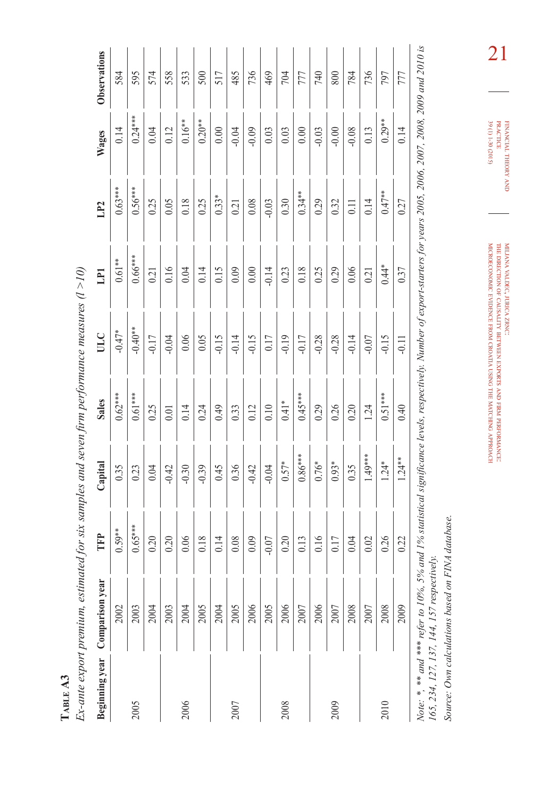|                | Ex-ante export premium, estimated for six samples and seven firm performance measures (l $>$ 10) |           |           |              |           |           |                   |           |              |
|----------------|--------------------------------------------------------------------------------------------------|-----------|-----------|--------------|-----------|-----------|-------------------|-----------|--------------|
| Beginning year | Comparison year                                                                                  | FFP       | Capital   | <b>Sales</b> | UUC       | ELI       | LP <sub>2</sub>   | Wages     | Observations |
|                | 2002                                                                                             | $0.59***$ | 0.35      | $0.62***$    | $-0.47*$  | $0.61**$  | $0.63***$         | 0.14      | 584          |
| 2005           | 2003                                                                                             | $0.65***$ | 0.23      | $0.61***$    | $-0.40**$ | $0.66***$ | $0.56***$         | $0.24***$ | 595          |
|                | 2004                                                                                             | 0.20      | 0.04      | 0.25         | $-0.17$   | 0.21      | 0.25              | 0.04      | 574          |
|                | 2003                                                                                             | 0.20      | $-0.42$   | 0.01         | $-0.04$   | 0.16      | 0.05              | 0.12      | 558          |
| 2006           | 2004                                                                                             | 0.06      | $-0.30$   | 0.14         | 0.06      | 0.04      | 0.18              | $0.16***$ | 533          |
|                | 2005                                                                                             | 0.18      | $-0.39$   | 0.24         | 0.05      | 0.14      | 0.25              | $0.20**$  | 500          |
|                | 2004                                                                                             | 0.14      | 0.45      | 0.49         | $-0.15$   | 0.15      | $0.33*$           | 0.00      | 517          |
| 2007           | 2005                                                                                             | 0.08      | 0.36      | 0.33         | $-0.14$   | 0.09      | 0.21              | $-0.04$   | 485          |
|                | 2006                                                                                             | 0.09      | $-0.42$   | 0.12         | $-0.15$   | 0.00      | 0.08              | $-0.09$   | 736          |
|                | 2005                                                                                             | $-0.07$   | $-0.04$   | $0.10\,$     | 0.17      | $-0.14$   | $-0.03$           | 0.03      | 469          |
| 2008           | 2006                                                                                             | 0.20      | $0.57*$   | $0.41*$      | $-0.19$   | 0.23      | 0.30              | 0.03      | 704          |
|                | 2007                                                                                             | 0.13      | $0.86***$ | $0.45***$    | $-0.17$   | 0.18      | $0.34**$          | 0.00      | 777          |
|                | 2006                                                                                             | 0.16      | $0.76*$   | 0.29         | $-0.28$   | 0.25      | 0.29              | $-0.03$   | 740          |
| 2009           | 2007                                                                                             | 0.17      | $0.93*$   | 0.26         | $-0.28$   | 0.29      | 0.32              | $-0.00$   | 800          |
|                | 2008                                                                                             | 0.04      | 0.35      | 0.20         | $-0.14$   | 0.06      | $\overline{0.11}$ | $-0.08$   | 784          |
|                | 2007                                                                                             | 0.02      | $1.49***$ | 1.24         | $-0.07$   | 0.21      | 0.14              | 0.13      | 736          |
| 2010           | 2008                                                                                             | 0.26      | $1.24*$   | $0.51***$    | $-0.15$   | $0.44*$   | $0.47***$         | $0.29**$  | 797          |
|                | 2009                                                                                             | 0.22      | $1.24**$  | 0.40         | $-0.11$   | 0.37      | 0.27              | 0.14      | 777          |

**Table A3** 

TABLE A3

2009 0.22 1.24\*\* 0.40 -0.11 0.37 0.27 0.14 777 0.37  $-0.11$ 0.40  $1.24***$ 0.22 2009

Note: \*, \*\* and \*\*\* refer to 10%, 5% and 1% statistical significance levels, respectively. Number of export-starters for years 2005, 2006, 2007, 2008, 2009 and 2010 is<br>165, 234, 127, 137, 144, 157 respectively. *Note: \*, \*\* and \*\*\* refer to 10%, 5% and 1% statistical significance levels, respectively. Number of export-starters for years 2005, 2006, 2007, 2008, 2009 and 2010 is 165, 234, 127, 137, 144, 157 respectively.*

Source: Own calculations based on FINA database. *Source: Own calculations based on FINA database.*

1

 $\frac{2}{\sum_{\substack{0 \leq x \leq 2x \leq 2x \leq 2x \leq 2x \leq 2x \leq 2x \leq 2x \leq 2x \leq 2x \leq 2x \leq 2x \leq 2x \leq 2x}}$ FINANCIAL THEORY AND PRACTICE 39 (1) 1-30 (2015) 39 (1) 1-30 (2015) financial theory

miljana valdec, jurica zrnc: the direction of causality between exports and firm performance: microeconomic evidence from croatia using the matching approach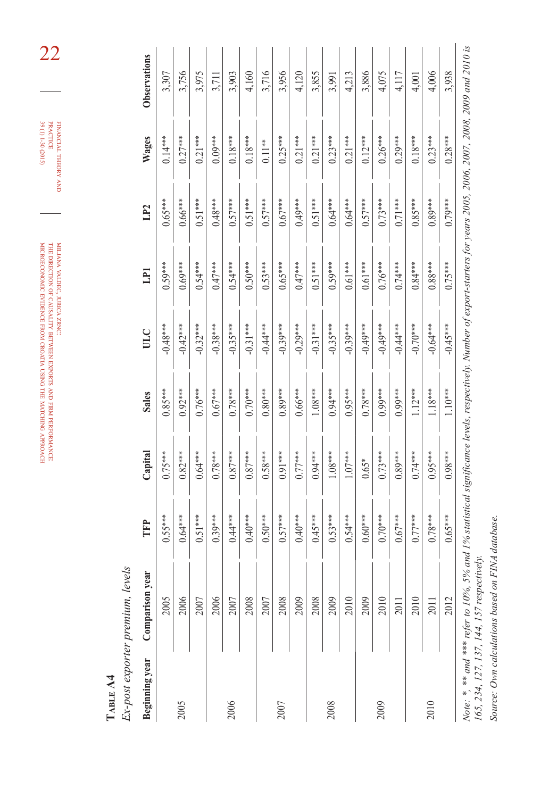$(5102)$ 06-1 (1) 06  $\tt\tt FINANTAL THEORY AND  
  $\tt PRACTICE$$ 39 (1) 1-30 (2015) practice financial theory

miljana valdec, jurica zrnc: the direction of causality between exports à firm performance: microeconomic evidence from croatia using the matching approach

> TABLE A4 **Table A4**

Ex-post exporter premium, levels *Ex-post exporter premium, levels*

| Beginning year | Comparison year                                                                                                                                                          | Ê         | Capital   | <b>Sales</b> | ULC        | E         | LP <sub>2</sub> | Wages     | Observations |
|----------------|--------------------------------------------------------------------------------------------------------------------------------------------------------------------------|-----------|-----------|--------------|------------|-----------|-----------------|-----------|--------------|
|                | 2005                                                                                                                                                                     | $0.55***$ | $0.75***$ | $0.85***$    | $-0.48***$ | $0.59***$ | $0.65***$       | $0.14***$ | 3,307        |
| 2005           | 2006                                                                                                                                                                     | $0.64***$ | $0.82***$ | $0.92***$    | $-0.42***$ | $0.69***$ | $0.66***$       | $0.27***$ | 3,756        |
|                | 2007                                                                                                                                                                     | $0.51***$ | $0.64***$ | $0.76***$    | $-0.32***$ | $0.54***$ | $0.51***$       | $0.21***$ | 3,975        |
|                | 2006                                                                                                                                                                     | $0.39***$ | $0.78***$ | $0.67***$    | $-0.38***$ | $0.47***$ | $0.48***$       | $0.09***$ | 3,711        |
| 2006           | 2007                                                                                                                                                                     | $0.44***$ | $0.87***$ | $0.78***$    | $-0.35***$ | $0.54***$ | $0.57***$       | $0.18***$ | 3,903        |
|                | 2008                                                                                                                                                                     | $0.40***$ | $0.87***$ | $0.70***$    | $-0.31***$ | $0.50***$ | $0.51***$       | $0.18***$ | 4,160        |
|                | 2007                                                                                                                                                                     | $0.50***$ | $0.58***$ | $0.80***$    | $-0.44***$ | $0.53***$ | $0.57***$       | $0.11***$ | 3,716        |
| 2007           | 2008                                                                                                                                                                     | $0.57***$ | $0.91***$ | $0.89***$    | $-0.39***$ | $0.65***$ | $0.67***$       | $0.25***$ | 3,956        |
|                | 2009                                                                                                                                                                     | $0.40***$ | $0.77***$ | $0.66***$    | $-0.29***$ | $0.47***$ | $0.49***$       | $0.21***$ | 4,120        |
|                | 2008                                                                                                                                                                     | $0.45***$ | $0.94***$ | $1.08***$    | $-0.31***$ | $0.51***$ | $0.51***$       | $0.21***$ | 3,855        |
| 2008           | 2009                                                                                                                                                                     | $0.53***$ | $1.08***$ | $0.94***$    | $-0.35***$ | $0.59***$ | $0.64***$       | $0.23***$ | 3,991        |
|                | 2010                                                                                                                                                                     | $0.54***$ | $1.07***$ | $0.95***$    | $-0.39***$ | $0.61***$ | $0.64***$       | $0.21***$ | 4,213        |
|                | 2009                                                                                                                                                                     | $0.60***$ | $0.65*$   | $0.78***$    | $-0.49***$ | $0.61***$ | $0.57***$       | $0.12***$ | 3,886        |
| 2009           | 2010                                                                                                                                                                     | $0.70***$ | $0.73***$ | $0.99***$    | $-0.49***$ | $0.76***$ | $0.73***$       | $0.26***$ | 4,075        |
|                | 2011                                                                                                                                                                     | $0.67***$ | $0.89***$ | $0.99***$    | $-0.44***$ | $0.74***$ | $0.71***$       | $0.29***$ | 4,117        |
|                | 2010                                                                                                                                                                     | $0.77***$ | $0.74***$ | $1.12***$    | $-0.70***$ | $0.84***$ | $0.85***$       | $0.18***$ | 4,001        |
| 2010           | 2011                                                                                                                                                                     | $0.78***$ | $0.95***$ | $1.18***$    | $-0.64***$ | $0.88***$ | $0.89***$       | $0.23***$ | 4,006        |
|                | 2012                                                                                                                                                                     | $0.65***$ | $0.98***$ | $1.10***$    | $-0.45***$ | $0.75***$ | $0.79***$       | $0.28***$ | 3,938        |
|                | Note: *, *** and *** refer to 10%, 5% and 1% statistical significance levels, respectively. Number of export-starters for years 2005, 2006, 2007, 2008, 2009 and 2010 is |           |           |              |            |           |                 |           |              |

 $\zeta$  $\frac{1}{2}$ Ļ 。<br>? Ş. Ļ  $\ddot{\phantom{a}}$ 165, 234, 127, 137, 144, 157 respectively. *165, 234, 127, 137, 144, 157 respectively.*

Source: Own calculations based on FINA database. *Source: Own calculations based on FINA database.*

22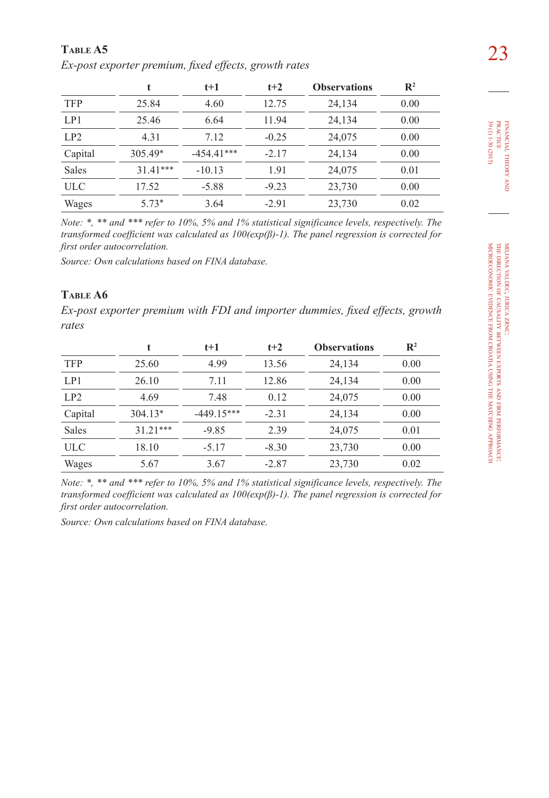23 **Table A5**  *Ex-post exporter premium, fixed effects, growth rates*

|              |           | t+1          | $t+2$   | <b>Observations</b> | $\mathbb{R}^2$ |
|--------------|-----------|--------------|---------|---------------------|----------------|
| <b>TFP</b>   | 25.84     | 4.60         | 12.75   | 24,134              | 0.00           |
| LP1          | 25.46     | 6.64         | 11.94   | 24,134              | 0.00           |
| LP2          | 4.31      | 7.12         | $-0.25$ | 24,075              | 0.00           |
| Capital      | $305.49*$ | $-454.41***$ | $-2.17$ | 24,134              | 0.00           |
| <b>Sales</b> | $3141***$ | $-10.13$     | 1.91    | 24,075              | 0.01           |
| <b>ULC</b>   | 17.52     | $-5.88$      | $-9.23$ | 23,730              | 0.00           |
| Wages        | $5.73*$   | 3.64         | $-2.91$ | 23,730              | 0.02           |

*Note: \*, \*\* and \*\*\* refer to 10%, 5% and 1% statistical significance levels, respectively. The transformed coefficient was calculated as 100(exp(β)-1). The panel regression is corrected for first order autocorrelation.*

*Source: Own calculations based on FINA database.*

# **Table A6**

*Ex-post exporter premium with FDI and importer dummies, fixed effects, growth rates*

|              |            | $t+1$        | $t+2$   | <b>Observations</b> | $\mathbf{R}^2$ |
|--------------|------------|--------------|---------|---------------------|----------------|
| <b>TFP</b>   | 25.60      | 4.99         | 13.56   | 24,134              | 0.00           |
| LP1          | 26.10      | 7.11         | 12.86   | 24,134              | 0.00           |
| LP2          | 4.69       | 7.48         | 0.12    | 24,075              | 0.00           |
| Capital      | $304.13*$  | $-449.15***$ | $-2.31$ | 24,134              | 0.00           |
| <b>Sales</b> | $31.21***$ | $-9.85$      | 2.39    | 24,075              | 0.01           |
| ULC          | 18.10      | $-5.17$      | $-8.30$ | 23,730              | 0.00           |
| Wages        | 5.67       | 3.67         | $-2.87$ | 23,730              | 0.02           |

*Note: \*, \*\* and \*\*\* refer to 10%, 5% and 1% statistical significance levels, respectively. The transformed coefficient was calculated as 100(exp(β)-1). The panel regression is corrected for first order autocorrelation.*

*Source: Own calculations based on FINA database.*

financial

theory FINANCIAL THEORY AND<br>PRACTICE<br>39 (1) 1-30 (2015) 39 (1) 1-30 (2015) practice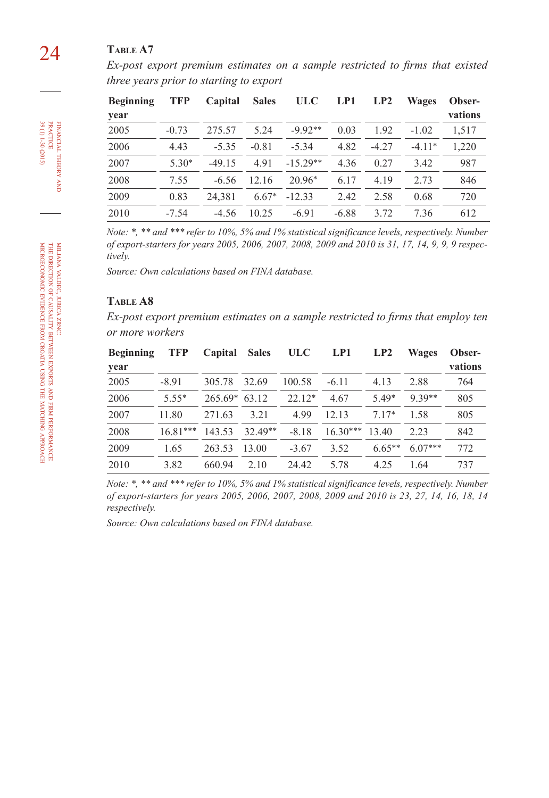# 24 **Table A7**

*Ex-post export premium estimates on a sample restricted to firms that existed three years prior to starting to export*

| <b>Beginning</b> | TFP     | Capital  | <b>Sales</b> | <b>ULC</b> | LP1     | LP2     | <b>Wages</b> | Obser-  |
|------------------|---------|----------|--------------|------------|---------|---------|--------------|---------|
| year             |         |          |              |            |         |         |              | vations |
| 2005             | $-0.73$ | 275.57   | 5.24         | $-9.92**$  | 0.03    | 1.92    | $-1.02$      | 1.517   |
| 2006             | 4.43    | $-5.35$  | $-0.81$      | $-5.34$    | 4.82    | $-4.27$ | $-4.11*$     | 1.220   |
| 2007             | $5.30*$ | $-49.15$ | 491          | $-15.29**$ | 4.36    | 0.27    | 3.42         | 987     |
| 2008             | 7.55    | $-6.56$  | 12.16        | $20.96*$   | 6.17    | 4.19    | 2.73         | 846     |
| 2009             | 0.83    | 24.381   | $6.67*$      | $-12.33$   | 2.42    | 2.58    | 0.68         | 720     |
| 2010             | $-7.54$ | $-4.56$  | 10.25        | $-6.91$    | $-6.88$ | 3.72    | 7.36         | 612     |

*Note: \*, \*\* and \*\*\* refer to 10%, 5% and 1% statistical significance levels, respectively. Number of export-starters for years 2005, 2006, 2007, 2008, 2009 and 2010 is 31, 17, 14, 9, 9, 9 respectively.*

*Source: Own calculations based on FINA database.*

### **Table A8**

*Ex-post export premium estimates on a sample restricted to firms that employ ten or more workers*

| <b>Beginning</b> | <b>TFP</b> | Capital   | <b>Sales</b> | <b>ULC</b> | LP1        | LP2      | <b>Wages</b> | Obser-  |
|------------------|------------|-----------|--------------|------------|------------|----------|--------------|---------|
| year             |            |           |              |            |            |          |              | vations |
| 2005             | $-8.91$    | 305.78    | 32.69        | 100.58     | $-6.11$    | 4.13     | 2.88         | 764     |
| 2006             | $5.55*$    | $265.69*$ | 63.12        | $22.12*$   | 4.67       | 549*     | $9.39**$     | 805     |
| 2007             | 11.80      | 271.63    | 3.21         | 4 9 9      | 12.13      | $717*$   | 1.58         | 805     |
| 2008             | $16.81***$ | 143.53    | $32.49**$    | $-8.18$    | $16.30***$ | 13.40    | 2.23         | 842     |
| 2009             | 1.65       | 263.53    | 13.00        | $-3.67$    | 3.52       | $6.65**$ | $6.07***$    | 772     |
| 2010             | 3.82       | 660.94    | 2.10         | 24.42      | 5.78       | 4.25     | 1.64         | 737     |

*Note: \*, \*\* and \*\*\* refer to 10%, 5% and 1% statistical significance levels, respectively. Number of export-starters for years 2005, 2006, 2007, 2008, 2009 and 2010 is 23, 27, 14, 16, 18, 14 respectively.*

*Source: Own calculations based on FINA database.*

financial

theory FINANCIAL THEORY AND<br>PRACTICE<br>99 (1) 1-30 (2015) 39 (1) 1-30 (2015) practice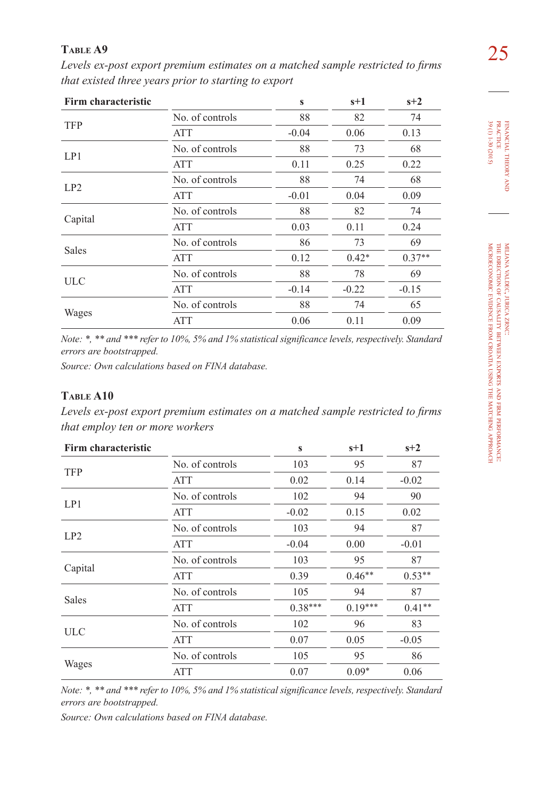25 **Table A9**  *Levels ex-post export premium estimates on a matched sample restricted to firms that existed three years prior to starting to export*

| Firm characteristic |                 | $\mathbf{s}$ | $s+1$   | $s+2$    |
|---------------------|-----------------|--------------|---------|----------|
|                     | No. of controls | 88           | 82      | 74       |
| <b>TFP</b>          | ATT             | $-0.04$      | 0.06    | 0.13     |
|                     | No. of controls | 88           | 73      | 68       |
| LP1                 | <b>ATT</b>      | 0.11         | 0.25    | 0.22     |
|                     | No. of controls | 88           | 74      | 68       |
| LP2                 | ATT             | $-0.01$      | 0.04    | 0.09     |
|                     | No. of controls | 88           | 82      | 74       |
| Capital             | ATT             | 0.03         | 0.11    | 0.24     |
|                     | No. of controls | 86           | 73      | 69       |
| <b>Sales</b>        | ATT             | 0.12         | $0.42*$ | $0.37**$ |
|                     | No. of controls | 88           | 78      | 69       |
| <b>ULC</b>          | <b>ATT</b>      | $-0.14$      | $-0.22$ | $-0.15$  |
|                     | No. of controls | 88           | 74      | 65       |
| Wages               | <b>ATT</b>      | 0.06         | 0.11    | 0.09     |

*Note: \*, \*\* and \*\*\* refer to 10%, 5% and 1% statistical significance levels, respectively. Standard errors are bootstrapped.*

*Source: Own calculations based on FINA database.*

# **Table A10**

*Levels ex-post export premium estimates on a matched sample restricted to firms that employ ten or more workers*

| Firm characteristic |                 | S                                                                                          | $s+1$     | $s+2$    |
|---------------------|-----------------|--------------------------------------------------------------------------------------------|-----------|----------|
| <b>TFP</b>          | No. of controls | 103                                                                                        | 95        | 87       |
|                     | <b>ATT</b>      | 0.02                                                                                       | 0.14      | $-0.02$  |
| LP1                 | No. of controls | 102                                                                                        | 94        | 90       |
|                     | <b>ATT</b>      | $-0.02$<br>103<br>$-0.04$<br>103<br>0.39<br>105<br>$0.38***$<br>102<br>0.07<br>105<br>0.07 | 0.15      | 0.02     |
| LP2                 | No. of controls |                                                                                            | 94        | 87       |
|                     | <b>ATT</b>      |                                                                                            | 0.00      | $-0.01$  |
|                     | No. of controls |                                                                                            | 95        | 87       |
| Capital             | <b>ATT</b>      |                                                                                            | $0.46**$  | $0.53**$ |
| <b>Sales</b>        | No. of controls |                                                                                            | 94        | 87       |
|                     | <b>ATT</b>      |                                                                                            | $0.19***$ | $0.41**$ |
|                     | No. of controls |                                                                                            | 96        | 83       |
| <b>ULC</b>          | <b>ATT</b>      |                                                                                            | 0.05      | $-0.05$  |
|                     | No. of controls |                                                                                            | 95        | 86       |
| Wages               | <b>ATT</b>      |                                                                                            | $0.09*$   | 0.06     |

*Note: \*, \*\* and \*\*\* refer to 10%, 5% and 1% statistical significance levels, respectively. Standard errors are bootstrapped.*

*Source: Own calculations based on FINA database.*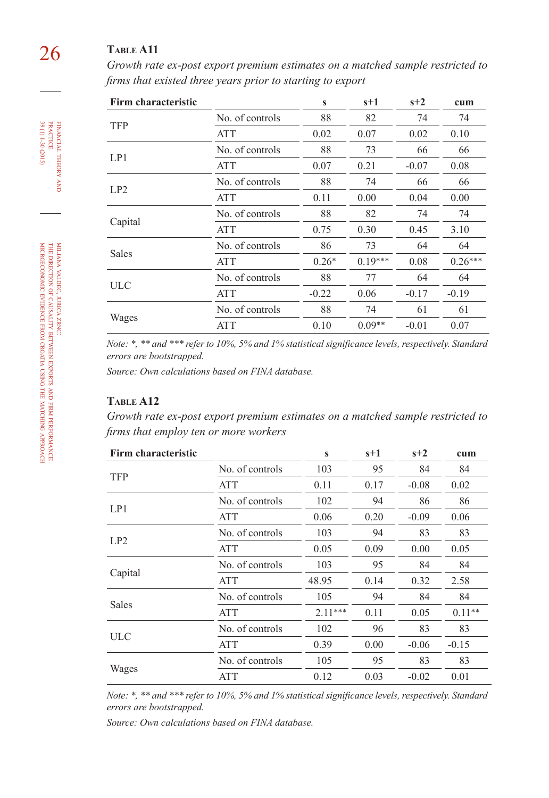# 26 **Table A11**

*Growth rate ex-post export premium estimates on a matched sample restricted to firms that existed three years prior to starting to export*

| Firm characteristic |                 | $\mathbf{s}$ | $s+1$     | $s+2$   | cum       |
|---------------------|-----------------|--------------|-----------|---------|-----------|
| <b>TFP</b>          | No. of controls | 88           | 82        | 74      | 74        |
|                     | <b>ATT</b>      | 0.02         | 0.07      | 0.02    | 0.10      |
|                     | No. of controls | 88           | 73        | 66      | 66        |
| LP1                 | <b>ATT</b>      | 0.07         | 0.21      | $-0.07$ | 0.08      |
| LP2                 | No. of controls | 88           | 74        | 66      | 66        |
|                     | <b>ATT</b>      | 0.11         | 0.00      | 0.04    | 0.00      |
|                     | No. of controls | 88           | 82        | 74      | 74        |
| Capital             | <b>ATT</b>      | 0.75         | 0.30      | 0.45    | 3.10      |
|                     | No. of controls | 86           | 73        | 64      | 64        |
| <b>Sales</b>        | <b>ATT</b>      | $0.26*$      | $0.19***$ | 0.08    | $0.26***$ |
|                     | No. of controls | 88           | 77        | 64      | 64        |
| <b>ULC</b>          | <b>ATT</b>      | $-0.22$      | 0.06      | $-0.17$ | $-0.19$   |
|                     | No. of controls | 88           | 74        | 61      | 61        |
| Wages               | <b>ATT</b>      | 0.10         | $0.09**$  | $-0.01$ | 0.07      |

*Note: \*, \*\* and \*\*\* refer to 10%, 5% and 1% statistical significance levels, respectively. Standard errors are bootstrapped.*

*Source: Own calculations based on FINA database.*

## **Table A12**

*Growth rate ex-post export premium estimates on a matched sample restricted to firms that employ ten or more workers*

| Firm characteristic |                 | $\mathbf{s}$ | $s+1$ | $s+2$   | cum      |
|---------------------|-----------------|--------------|-------|---------|----------|
|                     | No. of controls | 103          | 95    | 84      | 84       |
| <b>TFP</b>          | ATT             | 0.11         | 0.17  | $-0.08$ | 0.02     |
|                     | No. of controls | 102          | 94    | 86      | 86       |
| LP1                 | <b>ATT</b>      | 0.06         | 0.20  | $-0.09$ | 0.06     |
| LP2                 | No. of controls | 103          | 94    | 83      | 83       |
|                     | ATT             | 0.05         | 0.09  | 0.00    | 0.05     |
|                     | No. of controls | 103          | 95    | 84      | 84       |
| Capital             | ATT             | 48.95        | 0.14  | 0.32    | 2.58     |
|                     | No. of controls | 105          | 94    | 84      | 84       |
| Sales               | <b>ATT</b>      | $2.11***$    | 0.11  | 0.05    | $0.11**$ |
|                     | No. of controls | 102          | 96    | 83      | 83       |
| <b>ULC</b>          | <b>ATT</b>      | 0.39         | 0.00  | $-0.06$ | $-0.15$  |
|                     | No. of controls | 105          | 95    | 83      | 83       |
| Wages               | <b>ATT</b>      | 0.12         | 0.03  | $-0.02$ | 0.01     |
|                     |                 |              |       |         |          |

*Note: \*, \*\* and \*\*\* refer to 10%, 5% and 1% statistical significance levels, respectively. Standard errors are bootstrapped.*

*Source: Own calculations based on FINA database.*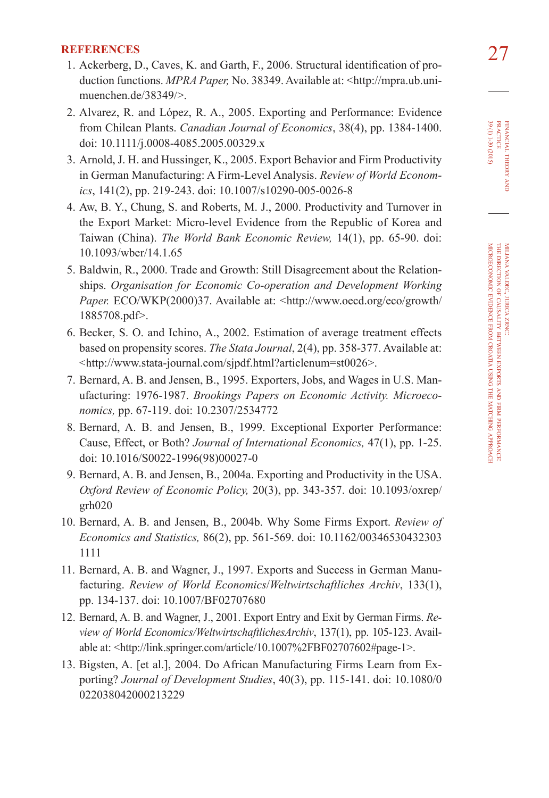- 27 **REFERENCES** 1. Ackerberg, D., Caves, K. and Garth, F., 2006. Structural identification of production functions. *MPRA Paper*, No. 38349. Available at: <[http://mpra.ub.uni](http://mpra.ub.uni-muenchen.de/38349/)[muenchen.de/38349](http://mpra.ub.uni-muenchen.de/38349/)/>.
- 2. Alvarez, R. and López, R. A., 2005. Exporting and Performance: Evidence from Chilean Plants. *Canadian Journal of Economics*, 38(4), pp. 1384-1400. doi: [10.1111/j.0008-4085.2005.00329.](http://dx.doi.org/10.1111/j.0008-4085.2005.00329.x)x
- 3. Arnold, J. H. and Hussinger, K., 2005. Export Behavior and Firm Productivity in German Manufacturing: A Firm-Level Analysis. *Review of World Economics*, 141(2), pp. 219-243. doi: [10.1007/s10290-005-0026-8](http://dx.doi.org/10.1007/s10290-005-0026-8)
- 4. Aw, B. Y., Chung, S. and Roberts, M. J., 2000. Productivity and Turnover in the Export Market: Micro-level Evidence from the Republic of Korea and Taiwan (China). *The World Bank Economic Review,* 14(1), pp. 65-90. doi: [10.1093/wber/14.1.6](http://dx.doi.org/10.1093/wber/14.1.65)5
- 5. Baldwin, R., 2000. Trade and Growth: Still Disagreement about the Relationships. *Organisation for Economic Co-operation and Development Working Paper.* ECO/WKP(2000)37. Available at: <http://www.oecd.org/eco/growth/ 1885708.pdf>.
- 6. Becker, S. O. and Ichino, A., 2002. Estimation of average treatment effects based on propensity scores. *The Stata Journal*, 2(4), pp. 358-377. Available at: <<http://www.stata-journal.com/sjpdf.html?articlenum=st0026>>.
- 7. Bernard, A. B. and Jensen, B., 1995. Exporters, Jobs, and Wages in U.S. Manufacturing: 1976-1987. *Brookings Papers on Economic Activity. Microeconomics,* pp. 67-119. doi: [10.2307/253477](http://dx.doi.org/10.2307/2534772)2
- 8. Bernard, A. B. and Jensen, B., 1999. Exceptional Exporter Performance: Cause, Effect, or Both? *Journal of International Economics,* 47(1), pp. 1-25. doi: [10.1016/S0022-1996\(98\)00027-](http://dx.doi.org/10.1016/S0022-1996(98)00027-0)0
- 9. Bernard, A. B. and Jensen, B., 2004a. Exporting and Productivity in the USA. *Oxford Review of Economic Policy,* 20(3), pp. 343-357. doi: [10.1093/oxrep/](http://dx.doi.org/10.1093/oxrep/grh020) [grh020](http://dx.doi.org/10.1093/oxrep/grh020)
- 10. Bernard, A. B. and Jensen, B., 2004b. Why Some Firms Export. *Review of Economics and Statistics,* 86(2), pp. 561-569. doi: [10.1162/00346530432303](http://dx.doi.org/10.1162/003465304323031111) [1111](http://dx.doi.org/10.1162/003465304323031111)
- 11. Bernard, A. B. and Wagner, J., 1997. Exports and Success in German Manufacturing. *Review of World Economics*/*Weltwirtschaftliches Archiv*, 133(1), pp. 134-137. doi: [10.1007/BF0270768](http://dx.doi.org/10.1007/BF02707680)0
- 12. Bernard, A. B. and Wagner, J., 2001. Export Entry and Exit by German Firms. *Review of World Economics/WeltwirtschaftlichesArchiv*, 137(1), pp. 105-123. Available at: <http://link.springer.com/article/10.1007%2FBF02707602#page-1>.
- 13. Bigsten, A. [et al.], 2004. Do African Manufacturing Firms Learn from Exporting? *Journal of Development Studies*, 40(3), pp. 115-141. doi: [10.1080/0](http://dx.doi.org/10.1080/0022038042000213229) [022038042000213229](http://dx.doi.org/10.1080/0022038042000213229)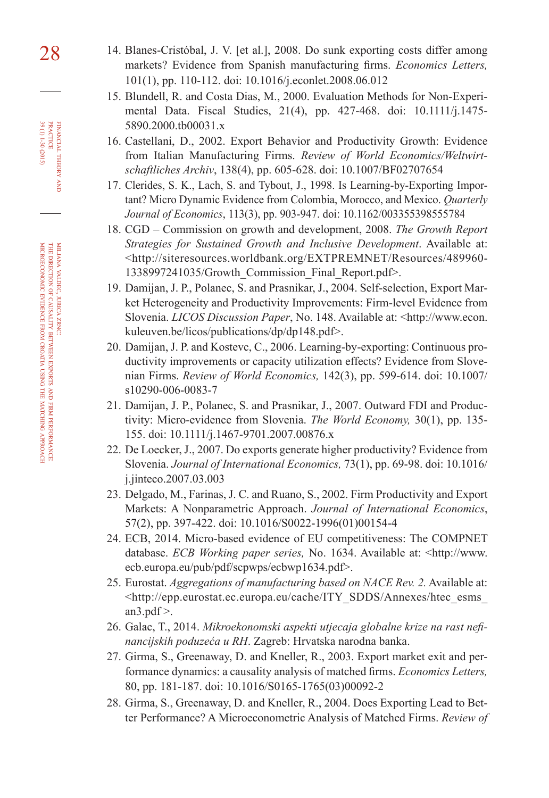- 28 14. Blanes-Cristóbal, J. V. [et al.], 2008. Do sunk exporting costs differ among markets? Evidence from Spanish manufacturing firms. *Economics Letters,*  101(1), pp. 110-112. doi: [10.1016/j.econlet.2008.06.01](http://dx.doi.org/10.1016/j.econlet.2008.06.012)2
	- 15. Blundell, R. and Costa Dias, M., 2000. Evaluation Methods for Non-Experimental Data. Fiscal Studies, 21(4), pp. 427-468. doi: [10.1111/j.1475-](http://dx.doi.org/10.1111/j.1475-5890.2000.tb00031.x) [5890.2000.tb00031.](http://dx.doi.org/10.1111/j.1475-5890.2000.tb00031.x)x
	- 16. Castellani, D., 2002. Export Behavior and Productivity Growth: Evidence from Italian Manufacturing Firms. *Review of World Economics/Weltwirtschaftliches Archiv*, 138(4), pp. 605-628. doi: [10.1007/BF0270765](http://dx.doi.org/10.1007/BF02707654)4
	- 17. Clerides, S. K., Lach, S. and Tybout, J., 1998. Is Learning-by-Exporting Important? Micro Dynamic Evidence from Colombia, Morocco, and Mexico. *Quarterly Journal of Economics*, 113(3), pp. 903-947. doi: [10.1162/00335539855578](http://dx.doi.org/10.1162/003355398555784)4
	- 18. CGD Commission on growth and development, 2008. *The Growth Report Strategies for Sustained Growth and Inclusive Development*. Available at: <http://siteresources.worldbank.org/EXTPREMNET/Resources/489960- 1338997241035/Growth\_Commission\_Final\_Report.pdf>.
	- 19. Damijan, J. P., Polanec, S. and Prasnikar, J., 2004. Self-selection, Export Market Heterogeneity and Productivity Improvements: Firm-level Evidence from Slovenia. *LICOS Discussion Paper*, No. 148. Available at: <http://www.econ. kuleuven.be/licos/publications/dp/dp148.pdf>.
	- 20. Damijan, J. P. and Kostevc, C., 2006. Learning-by-exporting: Continuous productivity improvements or capacity utilization effects? Evidence from Slovenian Firms. *Review of World Economics,* 142(3), pp. 599-614. doi: [10.1007/](http://dx.doi.org/10.1007/s10290-006-0083-7) [s10290-006-0083-7](http://dx.doi.org/10.1007/s10290-006-0083-7)
	- 21. Damijan, J. P., Polanec, S. and Prasnikar, J., 2007. Outward FDI and Productivity: Micro-evidence from Slovenia. *The World Economy,* 30(1), pp. 135- 155. doi: [10.1111/j.1467-9701.2007.00876.](http://dx.doi.org/10.1111/j.1467-9701.2007.00876.x)x
	- 22. De Loecker, J., 2007. Do exports generate higher productivity? Evidence from Slovenia. *Journal of International Economics,* 73(1), pp. 69-98. doi: [10.1016/](http://dx.doi.org/10.1016/j.jinteco.2007.03.003) [j.jinteco.2007.03.00](http://dx.doi.org/10.1016/j.jinteco.2007.03.003)3
	- 23. Delgado, M., Farinas, J. C. and Ruano, S., 2002. Firm Productivity and Export Markets: A Nonparametric Approach. *Journal of International Economics*, 57(2), pp. 397-422. doi: [10.1016/S0022-1996\(01\)00154-](http://dx.doi.org/10.1016/S0022-1996(01)00154-4)4
	- 24. ECB, 2014. Micro-based evidence of EU competitiveness: The COMPNET database. *ECB Working paper series,* No. 1634. Available at: <http://www. ecb.europa.eu/pub/pdf/scpwps/ecbwp1634.pdf>.
	- 25. Eurostat. *Aggregations of manufacturing based on NACE Rev. 2.* Available at: <http://epp.eurostat.ec.europa.eu/cache/ITY\_SDDS/Annexes/htec\_esms\_ an3.pd $f$  >.
	- 26. Galac, T., 2014. *Mikroekonomski aspekti utjecaja globalne krize na rast nefinancijskih poduzeća u RH*. Zagreb: Hrvatska narodna banka.
	- 27. Girma, S., Greenaway, D. and Kneller, R., 2003. Export market exit and performance dynamics: a causality analysis of matched firms. *Economics Letters,*  80, pp. 181-187. doi: [10.1016/S0165-1765\(03\)00092-](http://dx.doi.org/10.1016/S0165-1765(03)00092-2)2
	- 28. Girma, S., Greenaway, D. and Kneller, R., 2004. Does Exporting Lead to Better Performance? A Microeconometric Analysis of Matched Firms. *Review of*

practice

valdec, jurica

direction of causality

evidence

from croatia using the matching zrnc:

between

exports à firm

performance:

approach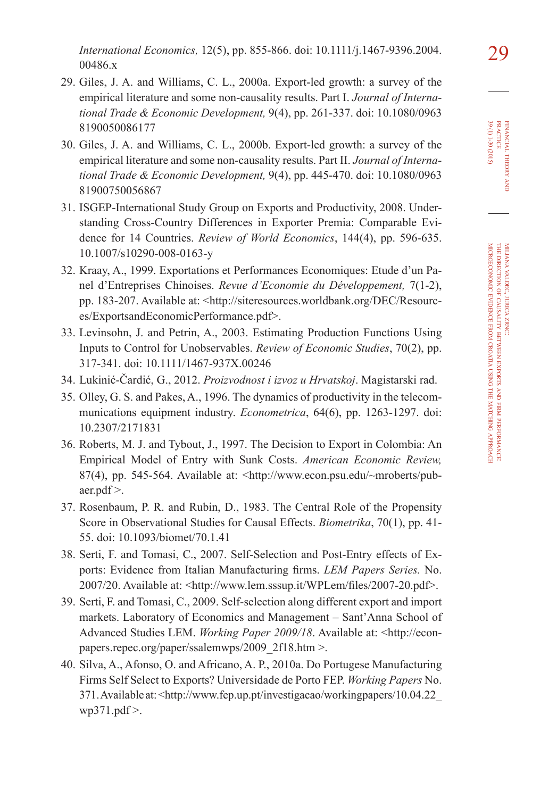- 29. Giles, J. A. and Williams, C. L., 2000a. Export-led growth: a survey of the empirical literature and some non-causality results. Part I. *Journal of International Trade & Economic Development,* 9(4), pp. 261-337. doi: [10.1080/0963](http://dx.doi.org/10.1080/09638190050086177) [8190050086177](http://dx.doi.org/10.1080/09638190050086177)
- 30. Giles, J. A. and Williams, C. L., 2000b. Export-led growth: a survey of the empirical literature and some non-causality results. Part II. *Journal of International Trade & Economic Development,* 9(4), pp. 445-470. doi: [10.1080/0963](http://dx.doi.org/10.1080/096381900750056867) [81900750056867](http://dx.doi.org/10.1080/096381900750056867)
- 31. ISGEP-International Study Group on Exports and Productivity, 2008. Understanding Cross-Country Differences in Exporter Premia: Comparable Evidence for 14 Countries. *Review of World Economics*, 144(4), pp. 596-635. [10.1007/s10290-008-0163-](http://dx.doi.org/10.1007/s10290-008-0163-y)y
- 32. Kraay, A., 1999. Exportations et Performances Economiques: Etude d'un Panel d'Entreprises Chinoises. *Revue d'Economie du Développement,* 7(1-2), pp. 183-207. Available at: <http://siteresources.worldbank.org/DEC/Resources/ExportsandEconomicPerformance.pdf>.
- 33. Levinsohn, J. and Petrin, A., 2003. Estimating Production Functions Using Inputs to Control for Unobservables. *Review of Economic Studies*, 70(2), pp. 317-341. doi: [10.1111/1467-937X.0024](http://dx.doi.org/10.1111/1467-937X.00246)6
- 34. Lukinić-Čardić, G., 2012. *Proizvodnost i izvoz u Hrvatskoj*. Magistarski rad.
- 35. Olley, G. S. and Pakes, A., 1996. The dynamics of productivity in the telecommunications equipment industry. *Econometrica*, 64(6), pp. 1263-1297. doi: [10.2307/217183](http://dx.doi.org/10.2307/2171831)1
- 36. Roberts, M. J. and Tybout, J., 1997. The Decision to Export in Colombia: An Empirical Model of Entry with Sunk Costs. *American Economic Review,* 87(4), pp. 545-564. Available at: <http://www.econ.psu.edu/~mroberts/pubaer.pdf >.
- 37. Rosenbaum, P. R. and Rubin, D., 1983. The Central Role of the Propensity Score in Observational Studies for Causal Effects. *Biometrika*, 70(1), pp. 41- 55. doi: [10.1093/biomet/70.1.4](http://dx.doi.org/10.1093/biomet/70.1.41)1
- 38. Serti, F. and Tomasi, C., 2007. Self-Selection and Post-Entry effects of Exports: Evidence from Italian Manufacturing firms. *LEM Papers Series.* No. 2007/20. Available at: <http://www.lem.sssup.it/WPLem/files/2007-20.pdf>.
- 39. Serti, F. and Tomasi, C., 2009. Self-selection along different export and import markets. Laboratory of Economics and Management – Sant'Anna School of Advanced Studies LEM. *Working Paper 2009/18*. Available at: <http://econpapers.repec.org/paper/ssalemwps/2009\_2f18.htm >.
- 40. Silva, A., Afonso, O. and Africano, A. P., 2010a. Do Portugese Manufacturing Firms Self Select to Exports? Universidade de Porto FEP. *Working Papers* No. 371. Available at: <http://www.fep.up.pt/investigacao/workingpapers/10.04.22\_ wp $371$ .pdf  $>$ .